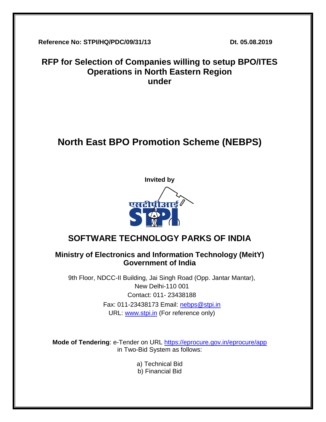**Reference No: STPI/HQ/PDC/09/31/13 Dt. 05.08.2019**

## **RFP for Selection of Companies willing to setup BPO/ITES Operations in North Eastern Region under**

# **North East BPO Promotion Scheme (NEBPS)**



## **SOFTWARE TECHNOLOGY PARKS OF INDIA**

## **Ministry of Electronics and Information Technology (MeitY) Government of India**

9th Floor, NDCC-II Building, Jai Singh Road (Opp. Jantar Mantar), New Delhi-110 001 Contact: 011- 23438188 Fax: 011-23438173 Email: [nebps@stpi.in](mailto:nebps@stpi.in) URL: [www.stpi.in](http://www.stpi.in/) (For reference only)

**Mode of Tendering**: e-Tender on URL<https://eprocure.gov.in/eprocure/app> in Two-Bid System as follows:

a) Technical Bid

b) Financial Bid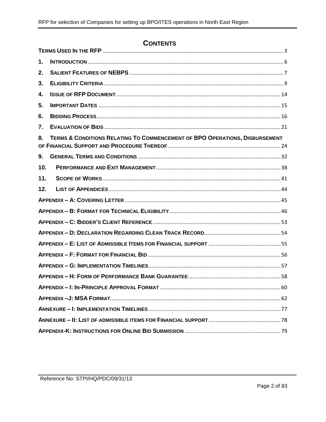## **CONTENTS**

| 1.              |                                                                             |  |  |
|-----------------|-----------------------------------------------------------------------------|--|--|
| 2.              |                                                                             |  |  |
| 3.              |                                                                             |  |  |
| 4.              |                                                                             |  |  |
| 5.              |                                                                             |  |  |
| 6.              |                                                                             |  |  |
| 7.              |                                                                             |  |  |
| 8.              | TERMS & CONDITIONS RELATING TO COMMENCEMENT OF BPO OPERATIONS, DISBURSEMENT |  |  |
| 9.              |                                                                             |  |  |
| 10 <sub>1</sub> |                                                                             |  |  |
| 11.             |                                                                             |  |  |
| 12.             |                                                                             |  |  |
|                 |                                                                             |  |  |
|                 |                                                                             |  |  |
|                 |                                                                             |  |  |
|                 |                                                                             |  |  |
|                 |                                                                             |  |  |
|                 |                                                                             |  |  |
|                 |                                                                             |  |  |
|                 |                                                                             |  |  |
|                 |                                                                             |  |  |
|                 |                                                                             |  |  |
|                 |                                                                             |  |  |
|                 |                                                                             |  |  |
|                 |                                                                             |  |  |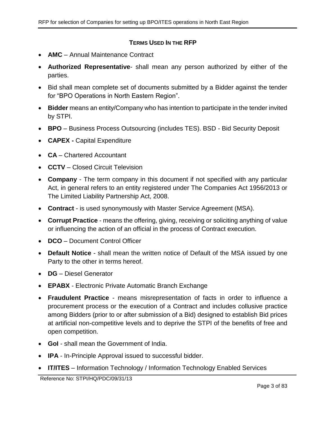### **TERMS USED IN THE RFP**

- <span id="page-2-0"></span>• **AMC** – Annual Maintenance Contract
- **Authorized Representative** shall mean any person authorized by either of the parties.
- Bid shall mean complete set of documents submitted by a Bidder against the tender for "BPO Operations in North Eastern Region".
- **Bidder** means an entity/Company who has intention to participate in the tender invited by STPI.
- **BPO** Business Process Outsourcing (includes TES). BSD Bid Security Deposit
- **CAPEX -** Capital Expenditure
- **CA** Chartered Accountant
- **CCTV** Closed Circuit Television
- **Company** The term company in this document if not specified with any particular Act, in general refers to an entity registered under The Companies Act 1956/2013 or The Limited Liability Partnership Act, 2008.
- **Contract**  is used synonymously with Master Service Agreement (MSA).
- **Corrupt Practice** means the offering, giving, receiving or soliciting anything of value or influencing the action of an official in the process of Contract execution.
- **DCO** Document Control Officer
- **Default Notice** shall mean the written notice of Default of the MSA issued by one Party to the other in terms hereof.
- **DG** Diesel Generator
- **EPABX** Electronic Private Automatic Branch Exchange
- **Fraudulent Practice** means misrepresentation of facts in order to influence a procurement process or the execution of a Contract and includes collusive practice among Bidders (prior to or after submission of a Bid) designed to establish Bid prices at artificial non-competitive levels and to deprive the STPI of the benefits of free and open competition.
- **GoI** shall mean the Government of India.
- **IPA** In-Principle Approval issued to successful bidder.
- **IT/ITES** Information Technology / Information Technology Enabled Services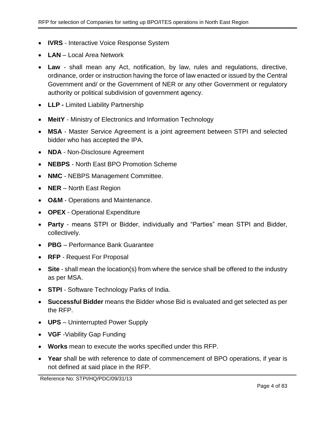- **IVRS** Interactive Voice Response System
- **LAN** Local Area Network
- **Law** shall mean any Act, notification, by law, rules and regulations, directive, ordinance, order or instruction having the force of law enacted or issued by the Central Government and/ or the Government of NER or any other Government or regulatory authority or political subdivision of government agency.
- **LLP -** Limited Liability Partnership
- **MeitY** Ministry of Electronics and Information Technology
- **MSA** Master Service Agreement is a joint agreement between STPI and selected bidder who has accepted the IPA.
- **NDA** Non-Disclosure Agreement
- **NEBPS** North East BPO Promotion Scheme
- **NMC** NEBPS Management Committee.
- **NER** North East Region
- **O&M** Operations and Maintenance.
- **OPEX** Operational Expenditure
- **Party** means STPI or Bidder, individually and "Parties" mean STPI and Bidder, collectively.
- **PBG** Performance Bank Guarantee
- **RFP** Request For Proposal
- **Site** shall mean the location(s) from where the service shall be offered to the industry as per MSA.
- **STPI** Software Technology Parks of India.
- **Successful Bidder** means the Bidder whose Bid is evaluated and get selected as per the RFP.
- **UPS** Uninterrupted Power Supply
- **VGF** -Viability Gap Funding
- **Works** mean to execute the works specified under this RFP.
- **Year** shall be with reference to date of commencement of BPO operations, if year is not defined at said place in the RFP.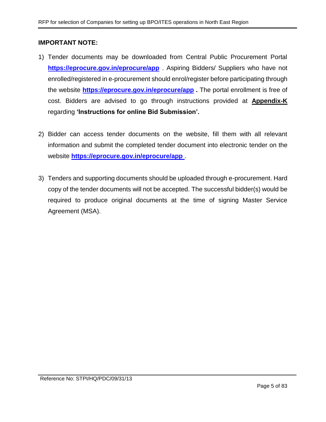#### **IMPORTANT NOTE:**

- 1) Tender documents may be downloaded from Central Public Procurement Portal **<https://eprocure.gov.in/eprocure/app>** . Aspiring Bidders/ Suppliers who have not enrolled/registered in e-procurement should enrol/register before participating through the website **<https://eprocure.gov.in/eprocure/app> .** The portal enrollment is free of cost. Bidders are advised to go through instructions provided at **[Appendix-K](#page-77-1)** regarding **'Instructions for online Bid Submission'.**
- 2) Bidder can access tender documents on the website, fill them with all relevant information and submit the completed tender document into electronic tender on the website **<https://eprocure.gov.in/eprocure/app>** .
- 3) Tenders and supporting documents should be uploaded through e-procurement. Hard copy of the tender documents will not be accepted. The successful bidder(s) would be required to produce original documents at the time of signing Master Service Agreement (MSA).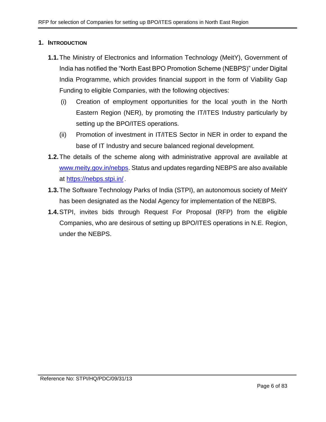#### <span id="page-5-0"></span>**1. INTRODUCTION**

- **1.1.**The Ministry of Electronics and Information Technology (MeitY), Government of India has notified the "North East BPO Promotion Scheme (NEBPS)" under Digital India Programme, which provides financial support in the form of Viability Gap Funding to eligible Companies, with the following objectives:
	- (i) Creation of employment opportunities for the local youth in the North Eastern Region (NER), by promoting the IT/ITES Industry particularly by setting up the BPO/ITES operations.
	- (ii) Promotion of investment in IT/ITES Sector in NER in order to expand the base of IT Industry and secure balanced regional development.
- **1.2.**The details of the scheme along with administrative approval are available at [www.meity.gov.in/nebps.](www.meity.gov.in/nebps) Status and updates regarding NEBPS are also available at <https://nebps.stpi.in/> .
- **1.3.**The Software Technology Parks of India (STPI), an autonomous society of MeitY has been designated as the Nodal Agency for implementation of the NEBPS.
- **1.4.**STPI, invites bids through Request For Proposal (RFP) from the eligible Companies, who are desirous of setting up BPO/ITES operations in N.E. Region, under the NEBPS.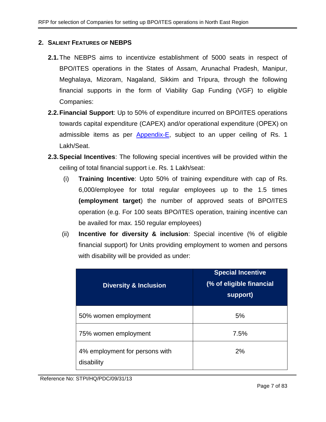### <span id="page-6-0"></span>**2. SALIENT FEATURES OF NEBPS**

- **2.1.**The NEBPS aims to incentivize establishment of 5000 seats in respect of BPO/ITES operations in the States of Assam, Arunachal Pradesh, Manipur, Meghalaya, Mizoram, Nagaland, Sikkim and Tripura, through the following financial supports in the form of Viability Gap Funding (VGF) to eligible Companies:
- **2.2.Financial Support**: Up to 50% of expenditure incurred on BPO/ITES operations towards capital expenditure (CAPEX) and/or operational expenditure (ОРЕХ) on admissible items as per [Appendix-E,](#page-54-0) subject to an upper ceiling of Rs. 1 Lakh/Seat.
- <span id="page-6-1"></span>**2.3.Special Incentives**: The following special incentives will be provided within the ceiling of total financial support i.e. Rs. 1 Lakh/seat:
	- (i) **Training Incentive**: Upto 50% of training expenditure with cap of Rs. 6,000/employee for total regular employees up to the 1.5 times **(employment target**) the number of approved seats of BPO/ITES operation (e.g. For 100 seats BPO/ITES operation, training incentive can be availed for max. 150 regular employees)
	- (ii) **Incentive for diversity & inclusion**: Special incentive (% of eligible financial support) for Units providing employment to women and persons with disability will be provided as under:

| <b>Diversity &amp; Inclusion</b>             | <b>Special Incentive</b><br>(% of eligible financial<br>support) |
|----------------------------------------------|------------------------------------------------------------------|
| 50% women employment                         | 5%                                                               |
| 75% women employment                         | 7.5%                                                             |
| 4% employment for persons with<br>disability | 2%                                                               |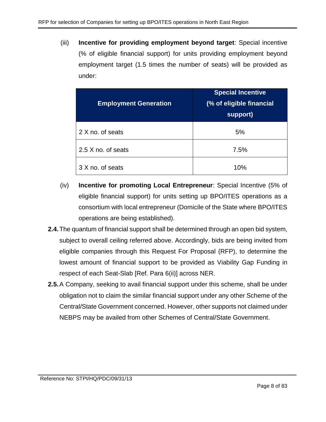(iii) **Incentive for providing employment beyond target**: Special incentive (% of eligible financial support) for units providing employment beyond employment target (1.5 times the number of seats) will be provided as under:

| <b>Employment Generation</b> | <b>Special Incentive</b><br>(% of eligible financial<br>support) |
|------------------------------|------------------------------------------------------------------|
| 2 X no. of seats             | 5%                                                               |
| 2.5 X no. of seats           | 7.5%                                                             |
| 3 X no. of seats             | 10%                                                              |

- (iv) **Incentive for promoting Local Entrepreneur**: Special Incentive (5% of eligible financial support) for units setting up BPO/ITES operations as a consortium with local entrepreneur (Domicile of the State where BPO/ITES operations are being established).
- **2.4.**The quantum of financial support shall be determined through an open bid system, subject to overall ceiling referred above. Accordingly, bids are being invited from eligible companies through this Request For Proposal (RFP), to determine the lowest amount of financial support to be provided as Viability Gap Funding in respect of each Seat-Slab [Ref. Para [6\(ii\)\]](#page-15-1) across NER.
- **2.5.**A Company, seeking to avail financial support under this scheme, shall be under obligation not to claim the similar financial support under any other Scheme of the Central/State Government concerned. However, other supports not claimed under NEBPS may be availed from other Schemes of Central/State Government.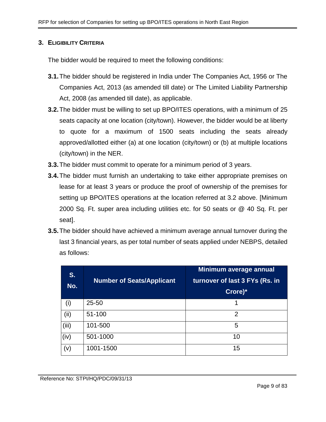#### <span id="page-8-0"></span>**3. ELIGIBILITY CRITERIA**

The bidder would be required to meet the following conditions:

- **3.1.**The bidder should be registered in India under The Companies Act, 1956 or The Companies Act, 2013 (as amended till date) or The Limited Liability Partnership Act, 2008 (as amended till date), as applicable.
- **3.2.**The bidder must be willing to set up BPO/ITES operations, with a minimum of 25 seats capacity at one location (city/town). However, the bidder would be at liberty to quote for a maximum of 1500 seats including the seats already approved/allotted either (a) at one location (city/town) or (b) at multiple locations (city/town) in the NER.
- **3.3.**The bidder must commit to operate for a minimum period of 3 years.
- **3.4.**The bidder must furnish an undertaking to take either appropriate premises on lease for at least 3 years or produce the proof of ownership of the premises for setting up BPO/ITES operations at the location referred at 3.2 above. [Minimum 2000 Sq. Ft. super area including utilities etc. for 50 seats or @ 40 Sq. Ft. per seat].
- **3.5.**The bidder should have achieved a minimum average annual turnover during the last 3 financial years, as per total number of seats applied under NEBPS, detailed as follows:

| S.<br>No. | <b>Number of Seats/Applicant</b> | Minimum average annual<br>turnover of last 3 FYs (Rs. in<br>Crore)* |
|-----------|----------------------------------|---------------------------------------------------------------------|
| (i)       | $25 - 50$                        |                                                                     |
| (ii)      | 51-100                           | 2                                                                   |
| (iii)     | 101-500                          | 5                                                                   |
| (iv)      | 501-1000                         | 10                                                                  |
| (v)       | 1001-1500                        | 15                                                                  |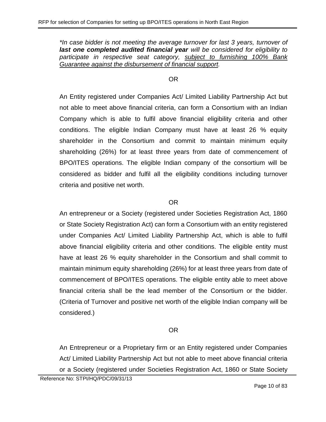*\*In case bidder is not meeting the average turnover for last 3 years, turnover of last one completed audited financial year will be considered for eligibility to participate in respective seat category, subject to furnishing 100% Bank Guarantee against the disbursement of financial support.*

#### OR

An Entity registered under Companies Act/ Limited Liability Partnership Act but not able to meet above financial criteria, can form a Consortium with an Indian Company which is able to fulfil above financial eligibility criteria and other conditions. The eligible Indian Company must have at least 26 % equity shareholder in the Consortium and commit to maintain minimum equity shareholding (26%) for at least three years from date of commencement of BPO/ITES operations. The eligible Indian company of the consortium will be considered as bidder and fulfil all the eligibility conditions including turnover criteria and positive net worth.

### OR

An entrepreneur or a Society (registered under Societies Registration Act, 1860 or State Society Registration Act) can form a Consortium with an entity registered under Companies Act/ Limited Liability Partnership Act, which is able to fulfil above financial eligibility criteria and other conditions. The eligible entity must have at least 26 % equity shareholder in the Consortium and shall commit to maintain minimum equity shareholding (26%) for at least three years from date of commencement of BPO/ITES operations. The eligible entity able to meet above financial criteria shall be the lead member of the Consortium or the bidder. (Criteria of Turnover and positive net worth of the eligible Indian company will be considered.)

## OR

An Entrepreneur or a Proprietary firm or an Entity registered under Companies Act/ Limited Liability Partnership Act but not able to meet above financial criteria or a Society (registered under Societies Registration Act, 1860 or State Society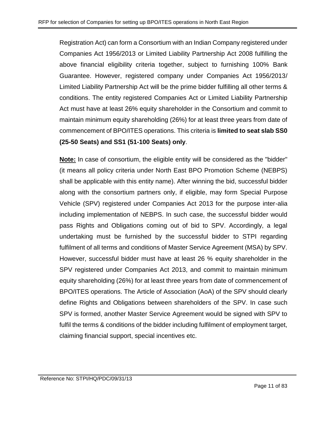Registration Act) can form a Consortium with an Indian Company registered under Companies Act 1956/2013 or Limited Liability Partnership Act 2008 fulfilling the above financial eligibility criteria together, subject to furnishing 100% Bank Guarantee. However, registered company under Companies Act 1956/2013/ Limited Liability Partnership Act will be the prime bidder fulfilling all other terms & conditions. The entity registered Companies Act or Limited Liability Partnership Act must have at least 26% equity shareholder in the Consortium and commit to maintain minimum equity shareholding (26%) for at least three years from date of commencement of BPO/ITES operations. This criteria is **limited to seat slab SS0 (25-50 Seats) and SS1 (51-100 Seats) only**.

**Note:** In case of consortium, the eligible entity will be considered as the "bidder" (it means all policy criteria under North East BPO Promotion Scheme (NEBPS) shall be applicable with this entity name). After winning the bid, successful bidder along with the consortium partners only, if eligible, may form Special Purpose Vehicle (SPV) registered under Companies Act 2013 for the purpose inter-alia including implementation of NEBPS. In such case, the successful bidder would pass Rights and Obligations coming out of bid to SPV. Accordingly, a legal undertaking must be furnished by the successful bidder to STPI regarding fulfilment of all terms and conditions of Master Service Agreement (MSA) by SPV. However, successful bidder must have at least 26 % equity shareholder in the SPV registered under Companies Act 2013, and commit to maintain minimum equity shareholding (26%) for at least three years from date of commencement of BPO/ITES operations. The Article of Association (AoA) of the SPV should clearly define Rights and Obligations between shareholders of the SPV. In case such SPV is formed, another Master Service Agreement would be signed with SPV to fulfil the terms & conditions of the bidder including fulfilment of employment target, claiming financial support, special incentives etc.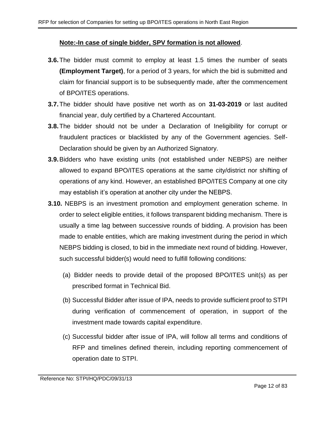#### **Note:-In case of single bidder, SPV formation is not allowed**.

- **3.6.**The bidder must commit to employ at least 1.5 times the number of seats **(Employment Target)**, for a period of 3 years, for which the bid is submitted and claim for financial support is to be subsequently made, after the commencement of BPO/ITES operations.
- **3.7.**The bidder should have positive net worth as on **31-03-2019** or last audited financial year, duly certified by a Chartered Accountant.
- **3.8.**The bidder should not be under a Declaration of Ineligibility for corrupt or fraudulent practices or blacklisted by any of the Government agencies. Self-Declaration should be given by an Authorized Signatory.
- **3.9.**Bidders who have existing units (not established under NEBPS) are neither allowed to expand BPO/ITES operations at the same city/district nor shifting of operations of any kind. However, an established BPO/ITES Company at one city may establish it's operation at another city under the NEBPS.
- <span id="page-11-0"></span>**3.10.** NEBPS is an investment promotion and employment generation scheme. In order to select eligible entities, it follows transparent bidding mechanism. There is usually a time lag between successive rounds of bidding. A provision has been made to enable entities, which are making investment during the period in which NEBPS bidding is closed, to bid in the immediate next round of bidding. However, such successful bidder(s) would need to fulfill following conditions:
	- (a) Bidder needs to provide detail of the proposed BPO/ITES unit(s) as per prescribed format in Technical Bid.
	- (b) Successful Bidder after issue of IPA, needs to provide sufficient proof to STPI during verification of commencement of operation, in support of the investment made towards capital expenditure.
	- (c) Successful bidder after issue of IPA, will follow all terms and conditions of RFP and timelines defined therein, including reporting commencement of operation date to STPI.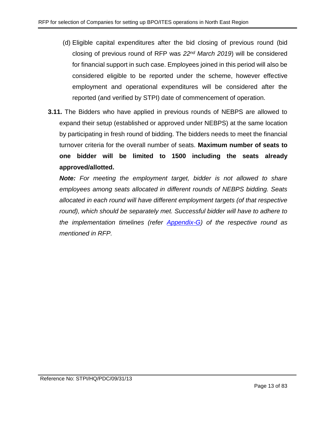- (d) Eligible capital expenditures after the bid closing of previous round (bid closing of previous round of RFP was *22nd March 2019*) will be considered for financial support in such case. Employees joined in this period will also be considered eligible to be reported under the scheme, however effective employment and operational expenditures will be considered after the reported (and verified by STPI) date of commencement of operation.
- **3.11.** The Bidders who have applied in previous rounds of NEBPS are allowed to expand their setup (established or approved under NEBPS) at the same location by participating in fresh round of bidding. The bidders needs to meet the financial turnover criteria for the overall number of seats. **Maximum number of seats to one bidder will be limited to 1500 including the seats already approved/allotted.**

*Note: For meeting the employment target, bidder is not allowed to share employees among seats allocated in different rounds of NEBPS bidding. Seats allocated in each round will have different employment targets (of that respective*  round), which should be separately met. Successful bidder will have to adhere to *the implementation timelines (refer [Appendix-G\)](#page-56-0) of the respective round as mentioned in RFP.*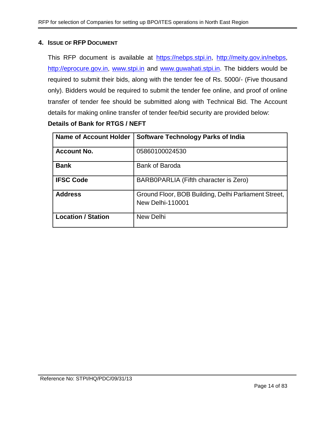#### <span id="page-13-0"></span>**4. ISSUE OF RFP DOCUMENT**

This RFP document is available at [https://nebps.stpi.in,](https://nebps.stpi.in/) [http://meity.gov.in/nebps,](http://meity.gov.in/nebps) [http://eprocure.gov.in,](http://eprocure.gov.in/) [www.stpi.in](http://www.stpi.in/) and [www.guwahati.stpi.in.](http://www.guwahati.stpi.in/) The bidders would be required to submit their bids, along with the tender fee of Rs. 5000/- (Five thousand only). Bidders would be required to submit the tender fee online, and proof of online transfer of tender fee should be submitted along with Technical Bid. The Account details for making online transfer of tender fee/bid security are provided below:

### **Details of Bank for RTGS / NEFT**

| <b>Name of Account Holder</b> | <b>Software Technology Parks of India</b>                                       |
|-------------------------------|---------------------------------------------------------------------------------|
| <b>Account No.</b>            | 05860100024530                                                                  |
| <b>Bank</b>                   | <b>Bank of Baroda</b>                                                           |
| <b>IFSC Code</b>              | BARB0PARLIA (Fifth character is Zero)                                           |
| <b>Address</b>                | Ground Floor, BOB Building, Delhi Parliament Street,<br><b>New Delhi-110001</b> |
| <b>Location / Station</b>     | New Delhi                                                                       |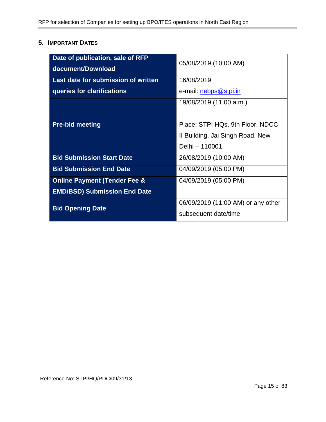## <span id="page-14-0"></span>**5. IMPORTANT DATES**

| Date of publication, sale of RFP<br>document/Download | 05/08/2019 (10:00 AM)              |  |
|-------------------------------------------------------|------------------------------------|--|
| Last date for submission of written                   | 16/08/2019                         |  |
| queries for clarifications                            | e-mail: nebps@stpi.in              |  |
|                                                       | 19/08/2019 (11.00 a.m.)            |  |
| <b>Pre-bid meeting</b>                                | Place: STPI HQs, 9th Floor, NDCC - |  |
|                                                       | II Building, Jai Singh Road, New   |  |
|                                                       | Delhi – 110001.                    |  |
| <b>Bid Submission Start Date</b>                      | 26/08/2019 (10:00 AM)              |  |
| <b>Bid Submission End Date</b>                        | 04/09/2019 (05:00 PM)              |  |
| <b>Online Payment (Tender Fee &amp;</b>               | 04/09/2019 (05:00 PM)              |  |
| <b>EMD/BSD) Submission End Date</b>                   |                                    |  |
| <b>Bid Opening Date</b>                               | 06/09/2019 (11:00 AM) or any other |  |
|                                                       | subsequent date/time               |  |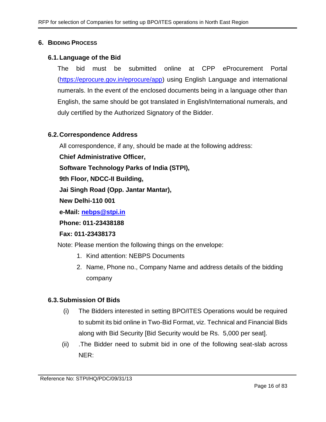#### <span id="page-15-0"></span>**6. BIDDING PROCESS**

#### **6.1.Language of the Bid**

The bid must be submitted online at CPP eProcurement Portal [\(https://eprocure.gov.in/eprocure/app\)](https://eprocure.gov.in/eprocure/app) using English Language and international numerals. In the event of the enclosed documents being in a language other than English, the same should be got translated in English/International numerals, and duly certified by the Authorized Signatory of the Bidder.

#### **6.2.Correspondence Address**

All correspondence, if any, should be made at the following address:

**Chief Administrative Officer,**

**Software Technology Parks of India (STPI),**

**9th Floor, NDCC-II Building,** 

**Jai Singh Road (Opp. Jantar Mantar),**

**New Delhi-110 001**

**e-Mail: [nebps@stpi.in](mailto:nebps@stpi.in)**

**Phone: 011-23438188**

#### **Fax: 011-23438173**

Note: Please mention the following things on the envelope:

- 1. Kind attention: NEBPS Documents
- 2. Name, Phone no., Company Name and address details of the bidding company

#### **6.3.Submission Of Bids**

- (i) The Bidders interested in setting BPO/ITES Operations would be required to submit its bid online in Two-Bid Format, viz. Technical and Financial Bids along with Bid Security [Bid Security would be Rs. 5,000 per seat].
- <span id="page-15-1"></span>(ii) .The Bidder need to submit bid in one of the following seat-slab across NER: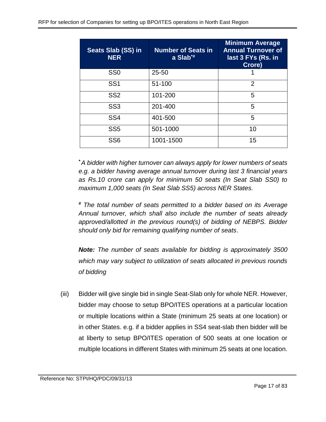| <b>Seats Slab (SS) in</b><br><b>NER</b> | <b>Number of Seats in</b><br>a $Slab^*$ | <b>Minimum Average</b><br><b>Annual Turnover of</b><br>last 3 FYs (Rs. in<br>Crore) |
|-----------------------------------------|-----------------------------------------|-------------------------------------------------------------------------------------|
| SS <sub>0</sub>                         | $25 - 50$                               |                                                                                     |
| SS <sub>1</sub>                         | 51-100                                  | $\overline{2}$                                                                      |
| SS <sub>2</sub>                         | 101-200                                 | 5                                                                                   |
| SS <sub>3</sub>                         | 201-400                                 | 5                                                                                   |
| SS <sub>4</sub>                         | 401-500                                 | 5                                                                                   |
| SS <sub>5</sub>                         | 501-1000                                | 10                                                                                  |
| SS <sub>6</sub>                         | 1001-1500                               | 15                                                                                  |

*\*A bidder with higher turnover can always apply for lower numbers of seats e.g. a bidder having average annual turnover during last 3 financial years as Rs.10 crore can apply for minimum 50 seats (In Seat Slab SS0) to maximum 1,000 seats (In Seat Slab SS5) across NER States.*

*# The total number of seats permitted to a bidder based on its Average Annual turnover, which shall also include the number of seats already approved/allotted in the previous round(s) of bidding of NEBPS. Bidder should only bid for remaining qualifying number of seats*.

*Note: The number of seats available for bidding is approximately 3500 which may vary subject to utilization of seats allocated in previous rounds of bidding*

(iii) Bidder will give single bid in single Seat-Slab only for whole NER. However, bidder may choose to setup BPO/ITES operations at a particular location or multiple locations within a State (minimum 25 seats at one location) or in other States. e.g. if a bidder applies in SS4 seat-slab then bidder will be at liberty to setup BPO/ITES operation of 500 seats at one location or multiple locations in different States with minimum 25 seats at one location.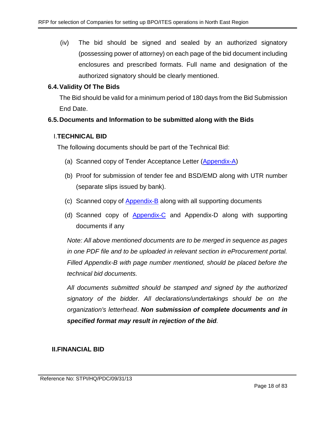(iv) The bid should be signed and sealed by an authorized signatory (possessing power of attorney) on each page of the bid document including enclosures and prescribed formats. Full name and designation of the authorized signatory should be clearly mentioned.

## **6.4.Validity Of The Bids**

The Bid should be valid for a minimum period of 180 days from the Bid Submission End Date.

### **6.5.Documents and Information to be submitted along with the Bids**

### I.**TECHNICAL BID**

The following documents should be part of the Technical Bid:

- (a) Scanned copy of Tender Acceptance Letter [\(Appendix-A\)](#page-44-0)
- (b) Proof for submission of tender fee and BSD/EMD along with UTR number (separate slips issued by bank).
- (c) Scanned copy of [Appendix-B](#page-45-0) along with all supporting documents
- (d) Scanned copy of [Appendix-C](#page-52-0) and Appendix-D along with supporting documents if any

*Note: All above mentioned documents are to be merged in sequence as pages in one PDF file and to be uploaded in relevant section in eProcurement portal. Filled Appendix-B with page number mentioned, should be placed before the technical bid documents.* 

*All documents submitted should be stamped and signed by the authorized signatory of the bidder. All declarations/undertakings should be on the organization's letterhead*. *Non submission of complete documents and in specified format may result in rejection of the bid.*

## **II.FINANCIAL BID**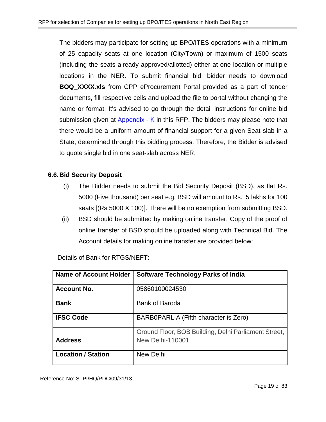The bidders may participate for setting up BPO/ITES operations with a minimum of 25 capacity seats at one location (City/Town) or maximum of 1500 seats (including the seats already approved/allotted) either at one location or multiple locations in the NER. To submit financial bid, bidder needs to download **BOQ\_XXXX.xls** from CPP eProcurement Portal provided as a part of tender documents, fill respective cells and upload the file to portal without changing the name or format. It's advised to go through the detail instructions for online bid submission given at [Appendix -](#page-77-1) K in this RFP. The bidders may please note that there would be a uniform amount of financial support for a given Seat-slab in a State, determined through this bidding process. Therefore, the Bidder is advised to quote single bid in one seat-slab across NER.

## **6.6.Bid Security Deposit**

- (i) The Bidder needs to submit the Bid Security Deposit (BSD), as flat Rs. 5000 (Five thousand) per seat e.g. BSD will amount to Rs. 5 lakhs for 100 seats [(Rs 5000 X 100)]. There will be no exemption from submitting BSD.
- (ii) BSD should be submitted by making online transfer. Copy of the proof of online transfer of BSD should be uploaded along with Technical Bid. The Account details for making online transfer are provided below:

| <b>Name of Account Holder</b> | <b>Software Technology Parks of India</b>                                       |
|-------------------------------|---------------------------------------------------------------------------------|
| <b>Account No.</b>            | 05860100024530                                                                  |
| <b>Bank</b>                   | <b>Bank of Baroda</b>                                                           |
| <b>IFSC Code</b>              | BARB0PARLIA (Fifth character is Zero)                                           |
| <b>Address</b>                | Ground Floor, BOB Building, Delhi Parliament Street,<br><b>New Delhi-110001</b> |
| <b>Location / Station</b>     | New Delhi                                                                       |

Details of Bank for RTGS/NEFT: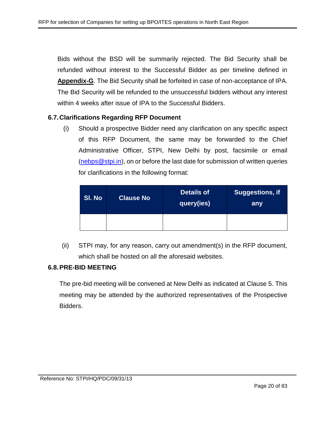Bids without the BSD will be summarily rejected. The Bid Security shall be refunded without interest to the Successful Bidder as per timeline defined in **Appendix-G**. The Bid Security shall be forfeited in case of non-acceptance of IPA. The Bid Security will be refunded to the unsuccessful bidders without any interest within 4 weeks after issue of IPA to the Successful Bidders.

#### **6.7.Clarifications Regarding RFP Document**

(i) Should a prospective Bidder need any clarification on any specific aspect of this RFP Document, the same may be forwarded to the Chief Administrative Officer, STPI, New Delhi by post, facsimile or email [\(nebps@stpi.in\)](mailto:nebps@stpi.in), on or before the last date for submission of written queries for clarifications in the following format:

| SI. No | <b>Clause No</b> | <b>Details of</b><br> query(ies) <sup> </sup> | <b>Suggestions, if</b><br>any |
|--------|------------------|-----------------------------------------------|-------------------------------|
|        |                  |                                               |                               |

(ii) STPI may, for any reason, carry out amendment(s) in the RFP document, which shall be hosted on all the aforesaid websites.

#### **6.8.PRE-BID MEETING**

The pre-bid meeting will be convened at New Delhi as indicated at Clause 5. This meeting may be attended by the authorized representatives of the Prospective Bidders.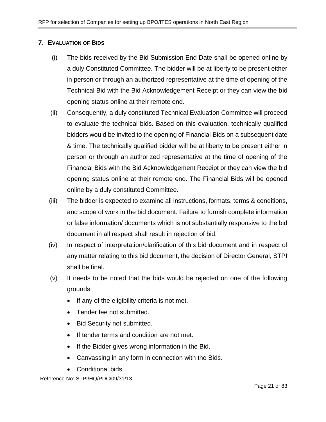## <span id="page-20-0"></span>**7. EVALUATION OF BIDS**

- (i) The bids received by the Bid Submission End Date shall be opened online by a duly Constituted Committee. The bidder will be at liberty to be present either in person or through an authorized representative at the time of opening of the Technical Bid with the Bid Acknowledgement Receipt or they can view the bid opening status online at their remote end.
- (ii) Consequently, a duly constituted Technical Evaluation Committee will proceed to evaluate the technical bids. Based on this evaluation, technically qualified bidders would be invited to the opening of Financial Bids on a subsequent date & time. The technically qualified bidder will be at liberty to be present either in person or through an authorized representative at the time of opening of the Financial Bids with the Bid Acknowledgement Receipt or they can view the bid opening status online at their remote end. The Financial Bids will be opened online by a duly constituted Committee.
- (iii) The bidder is expected to examine all instructions, formats, terms & conditions, and scope of work in the bid document. Failure to furnish complete information or false information/ documents which is not substantially responsive to the bid document in all respect shall result in rejection of bid.
- (iv) In respect of interpretation/clarification of this bid document and in respect of any matter relating to this bid document, the decision of Director General, STPI shall be final.
- (v) It needs to be noted that the bids would be rejected on one of the following grounds:
	- If any of the eligibility criteria is not met.
	- Tender fee not submitted.
	- Bid Security not submitted.
	- If tender terms and condition are not met.
	- If the Bidder gives wrong information in the Bid.
	- Canvassing in any form in connection with the Bids.
	- Conditional bids.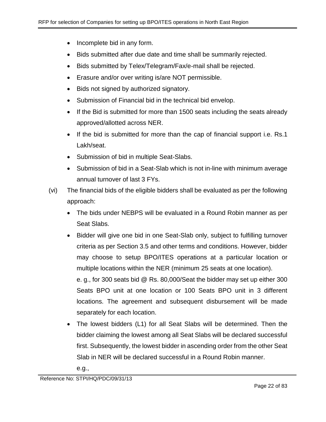- Incomplete bid in any form.
- Bids submitted after due date and time shall be summarily rejected.
- Bids submitted by Telex/Telegram/Fax/e-mail shall be rejected.
- Erasure and/or over writing is/are NOT permissible.
- Bids not signed by authorized signatory.
- Submission of Financial bid in the technical bid envelop.
- If the Bid is submitted for more than 1500 seats including the seats already approved/allotted across NER.
- If the bid is submitted for more than the cap of financial support i.e. Rs.1 Lakh/seat.
- Submission of bid in multiple Seat-Slabs.
- Submission of bid in a Seat-Slab which is not in-line with minimum average annual turnover of last 3 FYs.
- (vi) The financial bids of the eligible bidders shall be evaluated as per the following approach:
	- The bids under NEBPS will be evaluated in a Round Robin manner as per Seat Slabs.
	- Bidder will give one bid in one Seat-Slab only, subject to fulfilling turnover criteria as per Section 3.5 and other terms and conditions. However, bidder may choose to setup BPO/ITES operations at a particular location or multiple locations within the NER (minimum 25 seats at one location).

e. g., for 300 seats bid @ Rs. 80,000/Seat the bidder may set up either 300 Seats BPO unit at one location or 100 Seats BPO unit in 3 different locations. The agreement and subsequent disbursement will be made separately for each location.

- The lowest bidders (L1) for all Seat Slabs will be determined. Then the bidder claiming the lowest among all Seat Slabs will be declared successful first. Subsequently, the lowest bidder in ascending order from the other Seat Slab in NER will be declared successful in a Round Robin manner.
	- e.g.,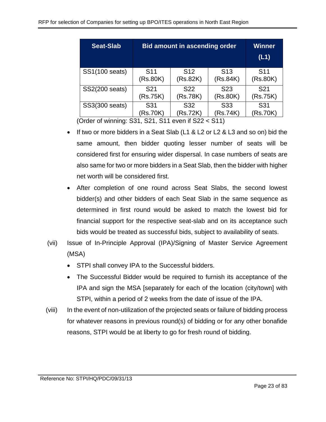| <b>Seat-Slab</b> | <b>Bid amount in ascending order</b> | Winner<br>(L1)  |                 |                 |
|------------------|--------------------------------------|-----------------|-----------------|-----------------|
| SS1(100 seats)   | S <sub>11</sub>                      | S <sub>12</sub> | S <sub>13</sub> | S <sub>11</sub> |
|                  | (Rs.80K)                             | (Rs.82K)        | (Rs.84K)        | (Rs.80K)        |
| SS2(200 seats)   | S <sub>21</sub>                      | S <sub>22</sub> |                 | S <sub>21</sub> |
|                  | (Rs.75K)                             | (Rs.78K)        |                 | (Rs.75K)        |
| SS3(300 seats)   | S31                                  | S <sub>32</sub> | S <sub>33</sub> | S31             |
|                  | (Rs.70K)                             | (Rs.72K)        | (Rs.74K)        | (Rs.70K)        |

(Order of winning: S31, S21, S11 even if S22 < S11)

- If two or more bidders in a Seat Slab (L1 & L2 or L2 & L3 and so on) bid the same amount, then bidder quoting lesser number of seats will be considered first for ensuring wider dispersal. In case numbers of seats are also same for two or more bidders in a Seat Slab, then the bidder with higher net worth will be considered first.
- After completion of one round across Seat Slabs, the second lowest bidder(s) and other bidders of each Seat Slab in the same sequence as determined in first round would be asked to match the lowest bid for financial support for the respective seat-slab and on its acceptance such bids would be treated as successful bids, subject to availability of seats.
- (vii) Issue of In-Principle Approval (IPA)/Signing of Master Service Agreement (MSA)
	- STPI shall convey IPA to the Successful bidders.
	- The Successful Bidder would be required to furnish its acceptance of the IPA and sign the MSA [separately for each of the location (city/town] with STPI, within a period of 2 weeks from the date of issue of the IPA.
- (viii) In the event of non-utilization of the projected seats or failure of bidding process for whatever reasons in previous round(s) of bidding or for any other bonafide reasons, STPI would be at liberty to go for fresh round of bidding.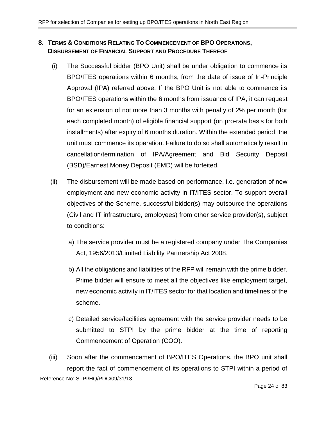## <span id="page-23-0"></span>**8. TERMS & CONDITIONS RELATING TO COMMENCEMENT OF BPO OPERATIONS, DISBURSEMENT OF FINANCIAL SUPPORT AND PROCEDURE THEREOF**

- <span id="page-23-2"></span>(i) The Successful bidder (BPO Unit) shall be under obligation to commence its BPO/ITES operations within 6 months, from the date of issue of In-Principle Approval (IPA) referred above. If the BPO Unit is not able to commence its BPO/ITES operations within the 6 months from issuance of IPA, it can request for an extension of not more than 3 months with penalty of 2% per month (for each completed month) of eligible financial support (on pro-rata basis for both installments) after expiry of 6 months duration. Within the extended period, the unit must commence its operation. Failure to do so shall automatically result in cancellation/termination of IPA/Agreement and Bid Security Deposit (BSD)/Earnest Money Deposit (EMD) will be forfeited.
- (ii) The disbursement will be made based on performance, i.e. generation of new employment and new economic activity in IT/ITES sector. To support overall objectives of the Scheme, successful bidder(s) may outsource the operations (Civil and IT infrastructure, employees) from other service provider(s), subject to conditions:
	- a) The service provider must be a registered company under The Companies Act, 1956/2013/Limited Liability Partnership Act 2008.
	- b) All the obligations and liabilities of the RFP will remain with the prime bidder. Prime bidder will ensure to meet all the objectives like employment target, new economic activity in IT/ITES sector for that location and timelines of the scheme.
	- c) Detailed service/facilities agreement with the service provider needs to be submitted to STPI by the prime bidder at the time of reporting Commencement of Operation (COO).
- <span id="page-23-1"></span>(iii) Soon after the commencement of BPO/ITES Operations, the BPO unit shall report the fact of commencement of its operations to STPI within a period of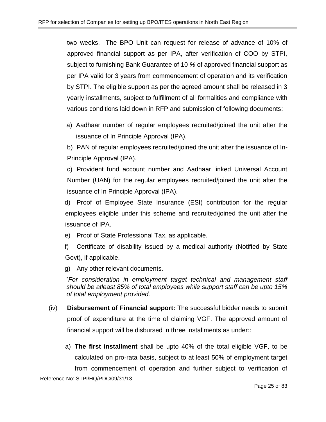two weeks. The BPO Unit can request for release of advance of 10% of approved financial support as per IPA, after verification of COO by STPI, subject to furnishing Bank Guarantee of 10 *%* of approved financial support as per IPA valid for 3 years from commencement of operation and its verification by STPI. The eligible support as per the agreed amount shall be released in 3 yearly installments, subject to fulfillment of all formalities and compliance with various conditions laid down in RFP and submission of following documents:

a) Aadhaar number of regular employees recruited/joined the unit after the issuance of In Principle Approval (IPA).

b) PAN of regular employees recruited/joined the unit after the issuance of In-Principle Approval (IPA).

c) Provident fund account number and Aadhaar linked Universal Account Number (UAN) for the regular employees recruited/joined the unit after the issuance of In Principle Approval (IPA).

d) Proof of Employee State Insurance (ESI) contribution for the regular employees eligible under this scheme and recruited/joined the unit after the issuance of IPA.

- e) Proof of State Professional Tax, as applicable.
- f) Certificate of disability issued by a medical authority (Notified by State Govt), if applicable.

g) Any other relevant documents.

*\*For consideration in employment target technical and management staff should be atleast 85% of total employees while support staff can be upto 15% of total employment provided.*

- (iv) **Disbursement of Financial support:** The successful bidder needs to submit proof of expenditure at the time of claiming VGF. The approved amount of financial support will be disbursed in three installments as under::
	- a) **The first installment** shall be upto 40% of the total eligible VGF, to be calculated on pro-rata basis, subject to at least 50% of employment target from commencement of operation and further subject to verification of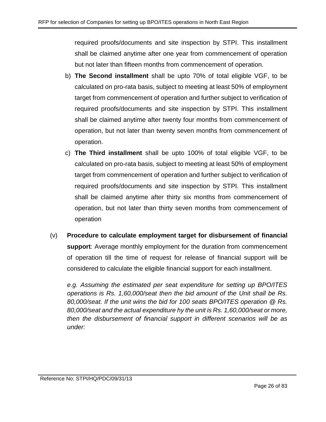required proofs/documents and site inspection by STPI. This installment shall be claimed anytime after one year from commencement of operation but not later than fifteen months from commencement of operation.

- b) **The Second installment** shall be upto 70% of total eligible VGF, to be calculated on pro-rata basis, subject to meeting at least 50% of employment target from commencement of operation and further subject to verification of required proofs/documents and site inspection by STPI. This installment shall be claimed anytime after twenty four months from commencement of operation, but not later than twenty seven months from commencement of operation.
- c) **The Third installment** shall be upto 100% of total eligible VGF, to be calculated on pro-rata basis, subject to meeting at least 50% of employment target from commencement of operation and further subject to verification of required proofs/documents and site inspection by STPI. This installment shall be claimed anytime after thirty six months from commencement of operation, but not later than thirty seven months from commencement of operation
- (v) **Procedure to calculate employment target for disbursement of financial support**: Average monthly employment for the duration from commencement of operation till the time of request for release of financial support will be considered to calculate the eligible financial support for each installment.

*e.g. Assuming the estimated per seat expenditure for setting up BPO/ITES operations is Rs. 1,60,000/seat then the bid amount of the Unit shall be Rs. 80,000/seat. If the unit wins the bid for 100 seats BPO/ITES operation @ Rs. 80,000/seat and the actual expenditure hy the unit is Rs. 1,60,000/seat or more, then the disbursement of financial support in different scenarios will be as under:*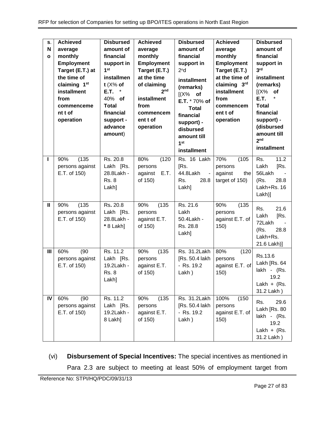| S.<br>N<br>$\mathbf{o}$ | <b>Achieved</b><br>average<br>monthly<br><b>Employment</b><br>Target (E.T.) at<br>the time of<br>claiming 1 <sup>st</sup><br>installment<br>from<br>commenceme<br>nt t of<br>operation | <b>Disbursed</b><br>amount of<br>financial<br>support in<br>1 <sup>st</sup><br>installmen<br>$t$ (X% of<br>E.T.<br>$\star$<br>40% of<br><b>Total</b><br>financial<br>support -<br>advance<br>amount) | <b>Achieved</b><br>average<br>monthly<br><b>Employment</b><br>Target (E.T.)<br>at the time<br>of claiming<br>2 <sub>nd</sub><br>installment<br>from<br>commencem<br>ent t of<br>operation | <b>Disbursed</b><br>amount of<br>financial<br>support in<br>2 <sup>n</sup> d<br>installment<br>(remarks)<br>$[(X\%$ of<br>E.T. * 70% of<br><b>Total</b><br>financial<br>support) -<br>disbursed<br>amount till<br>1 <sup>st</sup><br>installment | <b>Achieved</b><br>average<br>monthly<br><b>Employment</b><br>Target (E.T.)<br>at the time of<br>claiming 3rd<br>installment<br>from<br>commencem<br>ent t of<br>operation | <b>Disbursed</b><br>amount of<br>financial<br>support in<br>3 <sup>rd</sup><br>installment<br>(remarks)<br>(X%<br>of<br><b>E.T.</b><br><b>Total</b><br>financial<br>support) -<br>(disbursed<br>amount till<br>2 <sub>nd</sub><br>installment |
|-------------------------|----------------------------------------------------------------------------------------------------------------------------------------------------------------------------------------|------------------------------------------------------------------------------------------------------------------------------------------------------------------------------------------------------|-------------------------------------------------------------------------------------------------------------------------------------------------------------------------------------------|--------------------------------------------------------------------------------------------------------------------------------------------------------------------------------------------------------------------------------------------------|----------------------------------------------------------------------------------------------------------------------------------------------------------------------------|-----------------------------------------------------------------------------------------------------------------------------------------------------------------------------------------------------------------------------------------------|
| ı                       | (135)<br>90%<br>persons against<br>E.T. of 150)                                                                                                                                        | Rs. 20.8<br>Lakh [Rs.<br>28.8Lakh -<br><b>Rs. 8</b><br>Lakh]                                                                                                                                         | 80%<br>(120)<br>persons<br>E.T.<br>against<br>of 150)                                                                                                                                     | Rs. 16 Lakh<br>[Rs.<br>44.8Lakh<br>$\sim$<br>Rs.<br>28.8<br>Lakh]                                                                                                                                                                                | 70%<br>(105)<br>persons<br>against<br>the<br>target of 150)                                                                                                                | 11.2<br>Rs.<br>Lakh<br>[Rs.<br>56Lakh<br>(Rs.<br>28.8<br>Lakh+Rs, 16<br>Lakh)]                                                                                                                                                                |
| $\mathbf{I}$            | (135)<br>90%<br>persons against<br>E.T. of 150)                                                                                                                                        | Rs. 20.8<br>Lakh [Rs.<br>28.8Lakh -<br>* 8 Lakh]                                                                                                                                                     | 90%<br>(135)<br>persons<br>against E.T.<br>of 150)                                                                                                                                        | Rs. 21.6<br>Lakh<br>50.4Lakh -<br>Rs. 28.8<br>Lakh]                                                                                                                                                                                              | 90%<br>(135)<br>persons<br>against E.T. of<br>150)                                                                                                                         | 21.6<br>Rs.<br>[Rs.<br>Lakh<br>72Lakh<br>28.8<br>(Rs.<br>Lakh+Rs.<br>21.6 Lakh)]                                                                                                                                                              |
| Ш                       | 60%<br>(90)<br>persons against<br>E.T. of 150)                                                                                                                                         | Rs. 11.2<br>Lakh [Rs.<br>19.2Lakh -<br><b>Rs. 8</b><br>Lakh]                                                                                                                                         | (135)<br>90%<br>persons<br>against E.T.<br>of 150)                                                                                                                                        | Rs. 31.2Lakh<br>[Rs. 50.4 lakh]<br>- Rs. 19.2<br>Lakh)                                                                                                                                                                                           | 80%<br>(120)<br>persons<br>against E.T. of<br>150)                                                                                                                         | Rs.13.6<br>Lakh [Rs. 64<br>lakh - (Rs.<br>19.2<br>Lakh + $(Rs.$<br>31.2 Lakh)                                                                                                                                                                 |
| IV                      | 60%<br>(90)<br>persons against<br>E.T. of 150)                                                                                                                                         | Rs. 11.2<br>Lakh [Rs.<br>19.2Lakh -<br>8 Lakh]                                                                                                                                                       | (135)<br>90%<br>persons<br>against E.T.<br>of 150)                                                                                                                                        | Rs. 31.2Lakh<br>[Rs. 50.4 lakh<br>- Rs. 19.2<br>Lakh)                                                                                                                                                                                            | 100%<br>(150)<br>persons<br>against E.T. of<br>150)                                                                                                                        | 29.6<br>Rs.<br>Lakh [Rs. 80<br>lakh - (Rs.<br>19.2<br>Lakh + $(Rs.$<br>31.2 Lakh)                                                                                                                                                             |

(vi) **Disbursement of Special Incentives:** The special incentives as mentioned in Para [2.3](#page-6-1) are subject to meeting at least 50% of employment target from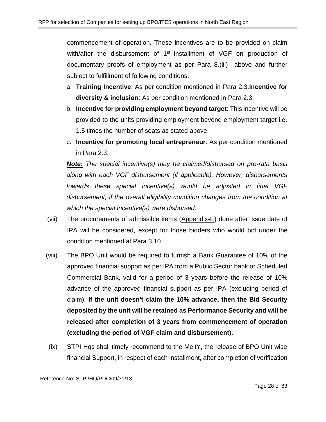commencement of operation. These incentives are to be provided on claim with/after the disbursement of 1<sup>st</sup> installment of VGF on production of documentary proofs of employment as per Para 8[.\(iii\)](#page-23-1) above and further subject to fulfillment of following conditions:

- a. **Training Incentive**: As per condition mentioned in Para [2.3.](#page-6-1)**Incentive for diversity & inclusion**: As per condition mentioned in Para [2.3.](#page-6-1)
- b. **Incentive for providing employment beyond target**: This incentive will be provided to the units providing employment beyond employment target i.e. 1.5 times the number of seats as stated above.
- c. **Incentive for promoting local entrepreneur**: As per condition mentioned in Para [2.3.](#page-6-1)

*Note: The special incentive(s) may be claimed/disbursed on pro-rata basis along with each VGF disbursement (if applicable). However, disbursements towards these special incentive(s) would be adjusted in final VGF disbursement, if the overall eligibility condition changes from the condition at which the special incentive(s) were disbursed.*

- (vii) The procurements of admissible items [\(Appendix-E\)](#page-54-0) done after issue date of IPA will be considered, except for those bidders who would bid under the condition mentioned at Para [3.10.](#page-11-0)
- (viii) The BPO Unit would be required to furnish a Bank Guarantee of 10% of the approved financial support as per IPA from a Public Sector bank or Scheduled Commercial Bank, valid for a period of 3 years before the release of 10% advance of the approved financial support as per IPA (excluding period of claim). **If the unit doesn't claim the 10% advance, then the Bid Security deposited by the unit will be retained as Performance Security and will be released after completion of 3 years from commencement of operation (excluding the period of VGF claim and disbursement)**.
- (ix) STPI Hqs shall timely recommend to the MeitY, the release of BPO Unit wise financial Support, in respect of each installment, after completion of verification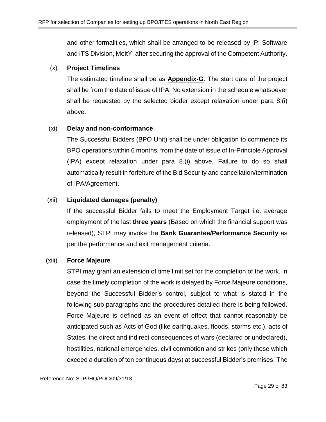and other formalities, which shall be arranged to be released by IP: Software and ITS Division, MeitY, after securing the approval of the Competent Authority.

## (x) **Project Timelines**

The estimated timeline shall be as **[Appendix-G](#page-56-0)**. The start date of the project shall be from the date of issue of IPA. No extension in the schedule whatsoever shall be requested by the selected bidder except relaxation under para 8[.\(i\)](#page-23-2) above.

## (xi) **Delay and non-conformance**

The Successful Bidders (BPO Unit) shall be under obligation to commence its BPO operations within 6 months, from the date of issue of In-Principle Approval (IPA) except relaxation under para 8[.\(i\)](#page-23-2) above. Failure to do so shall automatically result in forfeiture of the Bid Security and cancellation/termination of IPA/Agreement.

## (xii) **Liquidated damages (penalty)**

If the successful Bidder fails to meet the Employment Target i.e. average employment of the last **three years** (Based on which the financial support was released), STPI may invoke the **Bank Guarantee/Performance Security** as per the performance and exit management criteria.

## (xiii) **Force Majeure**

STPI may grant an extension of time limit set for the completion of the work, in case the timely completion of the work is delayed by Force Majeure conditions, beyond the Successful Bidder's control, subject to what is stated in the following sub paragraphs and the procedures detailed there is being followed. Force Majeure is defined as an event of effect that cannot reasonably be anticipated such as Acts of God (like earthquakes, floods, storms etc.), acts of States, the direct and indirect consequences of wars (declared or undeclared), hostilities, national emergencies, civil commotion and strikes (only those which exceed a duration of ten continuous days) at successful Bidder's premises. The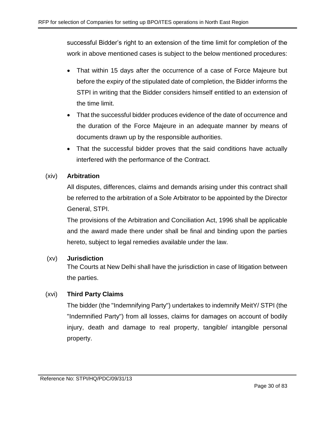successful Bidder's right to an extension of the time limit for completion of the work in above mentioned cases is subject to the below mentioned procedures:

- That within 15 days after the occurrence of a case of Force Majeure but before the expiry of the stipulated date of completion, the Bidder informs the STPI in writing that the Bidder considers himself entitled to an extension of the time limit.
- That the successful bidder produces evidence of the date of occurrence and the duration of the Force Majeure in an adequate manner by means of documents drawn up by the responsible authorities.
- That the successful bidder proves that the said conditions have actually interfered with the performance of the Contract.

## (xiv) **Arbitration**

All disputes, differences, claims and demands arising under this contract shall be referred to the arbitration of a Sole Arbitrator to be appointed by the Director General, STPI.

The provisions of the Arbitration and Conciliation Act, 1996 shall be applicable and the award made there under shall be final and binding upon the parties hereto, subject to legal remedies available under the law.

## (xv) **Jurisdiction**

The Courts at New Delhi shall have the jurisdiction in case of litigation between the parties.

## (xvi) **Third Party Claims**

The bidder (the "Indemnifying Party") undertakes to indemnify MeitY/ STPI (the "Indemnified Party") from all losses, claims for damages on account of bodily injury, death and damage to real property, tangible/ intangible personal property.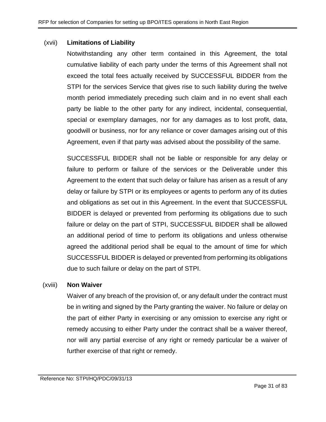#### (xvii) **Limitations of Liability**

Notwithstanding any other term contained in this Agreement, the total cumulative liability of each party under the terms of this Agreement shall not exceed the total fees actually received by SUCCESSFUL BIDDER from the STPI for the services Service that gives rise to such liability during the twelve month period immediately preceding such claim and in no event shall each party be liable to the other party for any indirect, incidental, consequential, special or exemplary damages, nor for any damages as to lost profit, data, goodwill or business, nor for any reliance or cover damages arising out of this Agreement, even if that party was advised about the possibility of the same.

SUCCESSFUL BIDDER shall not be liable or responsible for any delay or failure to perform or failure of the services or the Deliverable under this Agreement to the extent that such delay or failure has arisen as a result of any delay or failure by STPI or its employees or agents to perform any of its duties and obligations as set out in this Agreement. In the event that SUCCESSFUL BIDDER is delayed or prevented from performing its obligations due to such failure or delay on the part of STPI, SUCCESSFUL BIDDER shall be allowed an additional period of time to perform its obligations and unless otherwise agreed the additional period shall be equal to the amount of time for which SUCCESSFUL BIDDER is delayed or prevented from performing its obligations due to such failure or delay on the part of STPI.

#### (xviii) **Non Waiver**

Waiver of any breach of the provision of, or any default under the contract must be in writing and signed by the Party granting the waiver. No failure or delay on the part of either Party in exercising or any omission to exercise any right or remedy accusing to either Party under the contract shall be a waiver thereof, nor will any partial exercise of any right or remedy particular be a waiver of further exercise of that right or remedy.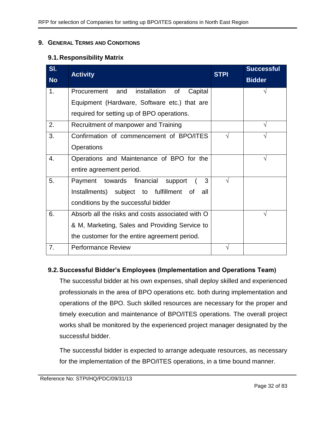#### <span id="page-31-0"></span>**9. GENERAL TERMS AND CONDITIONS**

## **9.1.Responsibility Matrix**

| SI.            | <b>Activity</b>                                  | <b>STPI</b> | <b>Successful</b> |
|----------------|--------------------------------------------------|-------------|-------------------|
| <b>No</b>      |                                                  |             | <b>Bidder</b>     |
| 1 <sub>1</sub> | Procurement and<br>installation of<br>Capital    |             |                   |
|                | Equipment (Hardware, Software etc.) that are     |             |                   |
|                | required for setting up of BPO operations.       |             |                   |
| 2.             | Recruitment of manpower and Training             |             |                   |
| 3.             | Confirmation of commencement of BPO/ITES         | $\sqrt{}$   |                   |
|                | Operations                                       |             |                   |
| 4.             | Operations and Maintenance of BPO for the        |             | V                 |
|                | entire agreement period.                         |             |                   |
| 5.             | Payment towards financial support<br>3           | V           |                   |
|                | Installments) subject to fulfillment of<br>all   |             |                   |
|                | conditions by the successful bidder              |             |                   |
| 6.             | Absorb all the risks and costs associated with O |             | N                 |
|                | & M, Marketing, Sales and Providing Service to   |             |                   |
|                | the customer for the entire agreement period.    |             |                   |
| 7.             | <b>Performance Review</b>                        |             |                   |

## **9.2.Successful Bidder's Employees (Implementation and Operations Team)**

The successful bidder at his own expenses, shall deploy skilled and experienced professionals in the area of BPO operations etc. both during implementation and operations of the BPO. Such skilled resources are necessary for the proper and timely execution and maintenance of BPO/ITES operations. The overall project works shall be monitored by the experienced project manager designated by the successful bidder.

The successful bidder is expected to arrange adequate resources, as necessary for the implementation of the BPO/ITES operations, in a time bound manner.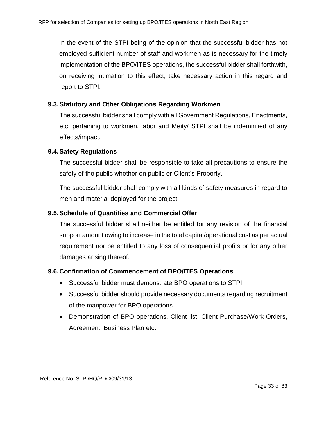In the event of the STPI being of the opinion that the successful bidder has not employed sufficient number of staff and workmen as is necessary for the timely implementation of the BPO/ITES operations, the successful bidder shall forthwith, on receiving intimation to this effect, take necessary action in this regard and report to STPI.

## **9.3.Statutory and Other Obligations Regarding Workmen**

The successful bidder shall comply with all Government Regulations, Enactments, etc. pertaining to workmen, labor and Meity/ STPI shall be indemnified of any effects/impact.

### **9.4.Safety Regulations**

The successful bidder shall be responsible to take all precautions to ensure the safety of the public whether on public or Client's Property.

The successful bidder shall comply with all kinds of safety measures in regard to men and material deployed for the project.

## **9.5.Schedule of Quantities and Commercial Offer**

The successful bidder shall neither be entitled for any revision of the financial support amount owing to increase in the total capital/operational cost as per actual requirement nor be entitled to any loss of consequential profits or for any other damages arising thereof.

#### **9.6.Confirmation of Commencement of BPO/ITES Operations**

- Successful bidder must demonstrate BPO operations to STPI.
- Successful bidder should provide necessary documents regarding recruitment of the manpower for BPO operations.
- Demonstration of BPO operations, Client list, Client Purchase/Work Orders, Agreement, Business Plan etc.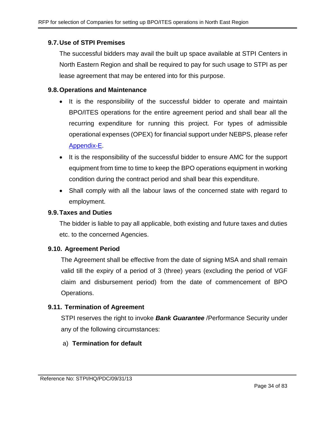## **9.7.Use of STPI Premises**

The successful bidders may avail the built up space available at STPI Centers in North Eastern Region and shall be required to pay for such usage to STPI as per lease agreement that may be entered into for this purpose.

#### **9.8.Operations and Maintenance**

- It is the responsibility of the successful bidder to operate and maintain BPO/ITES operations for the entire agreement period and shall bear all the recurring expenditure for running this project. For types of admissible operational expenses (OPEX) for financial support under NEBPS, please refer [Appendix-E.](#page-54-0)
- It is the responsibility of the successful bidder to ensure AMC for the support equipment from time to time to keep the BPO operations equipment in working condition during the contract period and shall bear this expenditure.
- Shall comply with all the labour laws of the concerned state with regard to employment.

#### **9.9.Taxes and Duties**

The bidder is liable to pay all applicable, both existing and future taxes and duties etc. to the concerned Agencies.

#### **9.10. Agreement Period**

The Agreement shall be effective from the date of signing MSA and shall remain valid till the expiry of a period of 3 (three) years (excluding the period of VGF claim and disbursement period) from the date of commencement of BPO Operations.

## **9.11. Termination of Agreement**

STPI reserves the right to invoke *Bank Guarantee* /Performance Security under any of the following circumstances:

## a) **Termination for default**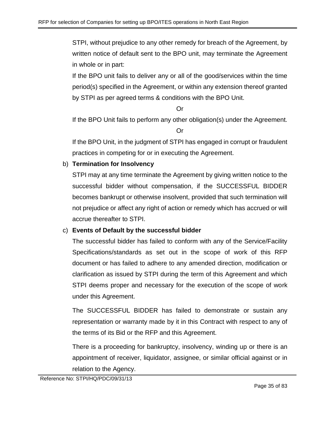STPI, without prejudice to any other remedy for breach of the Agreement, by written notice of default sent to the BPO unit, may terminate the Agreement in whole or in part:

If the BPO unit fails to deliver any or all of the good/services within the time period(s) specified in the Agreement, or within any extension thereof granted by STPI as per agreed terms & conditions with the BPO Unit.

Or

If the BPO Unit fails to perform any other obligation(s) under the Agreement.

Or

If the BPO Unit, in the judgment of STPI has engaged in corrupt or fraudulent practices in competing for or in executing the Agreement.

## b) **Termination for Insolvency**

STPI may at any time terminate the Agreement by giving written notice to the successful bidder without compensation, if the SUCCESSFUL BIDDER becomes bankrupt or otherwise insolvent, provided that such termination will not prejudice or affect any right of action or remedy which has accrued or will accrue thereafter to STPI.

## c) **Events of Default by the successful bidder**

The successful bidder has failed to conform with any of the Service/Facility Specifications/standards as set out in the scope of work of this RFP document or has failed to adhere to any amended direction, modification or clarification as issued by STPI during the term of this Agreement and which STPI deems proper and necessary for the execution of the scope of work under this Agreement.

The SUCCESSFUL BIDDER has failed to demonstrate or sustain any representation or warranty made by it in this Contract with respect to any of the terms of its Bid or the RFP and this Agreement.

There is a proceeding for bankruptcy, insolvency, winding up or there is an appointment of receiver, liquidator, assignee, or similar official against or in relation to the Agency.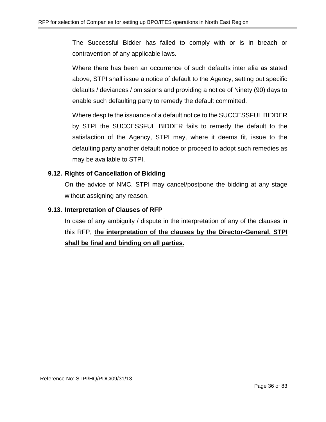The Successful Bidder has failed to comply with or is in breach or contravention of any applicable laws.

Where there has been an occurrence of such defaults inter alia as stated above, STPI shall issue a notice of default to the Agency, setting out specific defaults / deviances / omissions and providing a notice of Ninety (90) days to enable such defaulting party to remedy the default committed.

Where despite the issuance of a default notice to the SUCCESSFUL BIDDER by STPI the SUCCESSFUL BIDDER fails to remedy the default to the satisfaction of the Agency, STPI may, where it deems fit, issue to the defaulting party another default notice or proceed to adopt such remedies as may be available to STPI.

## **9.12. Rights of Cancellation of Bidding**

On the advice of NMC, STPI may cancel/postpone the bidding at any stage without assigning any reason.

## **9.13. Interpretation of Clauses of RFP**

In case of any ambiguity / dispute in the interpretation of any of the clauses in this RFP, **the interpretation of the clauses by the Director-General, STPI shall be final and binding on all parties.**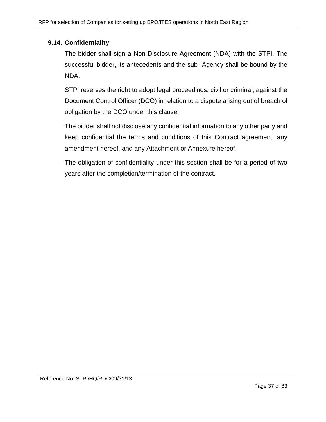## **9.14. Confidentiality**

The bidder shall sign a Non-Disclosure Agreement (NDA) with the STPI. The successful bidder, its antecedents and the sub- Agency shall be bound by the NDA.

STPI reserves the right to adopt legal proceedings, civil or criminal, against the Document Control Officer (DCO) in relation to a dispute arising out of breach of obligation by the DCO under this clause.

The bidder shall not disclose any confidential information to any other party and keep confidential the terms and conditions of this Contract agreement, any amendment hereof, and any Attachment or Annexure hereof.

The obligation of confidentiality under this section shall be for a period of two years after the completion/termination of the contract.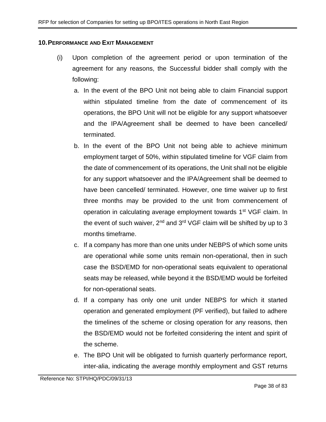#### **10.PERFORMANCE AND EXIT MANAGEMENT**

- (i) Upon completion of the agreement period or upon termination of the agreement for any reasons, the Successful bidder shall comply with the following:
	- a. In the event of the BPO Unit not being able to claim Financial support within stipulated timeline from the date of commencement of its operations, the BPO Unit will not be eligible for any support whatsoever and the IPA/Agreement shall be deemed to have been cancelled/ terminated.
	- b. In the event of the BPO Unit not being able to achieve minimum employment target of 50%, within stipulated timeline for VGF claim from the date of commencement of its operations, the Unit shall not be eligible for any support whatsoever and the IPA/Agreement shall be deemed to have been cancelled/ terminated. However, one time waiver up to first three months may be provided to the unit from commencement of operation in calculating average employment towards 1<sup>st</sup> VGF claim. In the event of such waiver,  $2^{nd}$  and  $3^{rd}$  VGF claim will be shifted by up to 3 months timeframe.
	- c. If a company has more than one units under NEBPS of which some units are operational while some units remain non-operational, then in such case the BSD/EMD for non-operational seats equivalent to operational seats may be released, while beyond it the BSD/EMD would be forfeited for non-operational seats.
	- d. If a company has only one unit under NEBPS for which it started operation and generated employment (PF verified), but failed to adhere the timelines of the scheme or closing operation for any reasons, then the BSD/EMD would not be forfeited considering the intent and spirit of the scheme.
	- e. The BPO Unit will be obligated to furnish quarterly performance report, inter-alia, indicating the average monthly employment and GST returns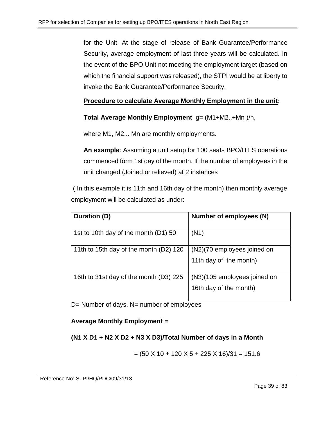for the Unit. At the stage of release of Bank Guarantee/Performance Security, average employment of last three years will be calculated. In the event of the BPO Unit not meeting the employment target (based on which the financial support was released), the STPI would be at liberty to invoke the Bank Guarantee/Performance Security.

# **Procedure to calculate Average Monthly Employment in the unit:**

**Total Average Monthly Employment**, g= (M1+M2..+Mn )/n,

where M1, M2... Mn are monthly employments.

**An example**: Assuming a unit setup for 100 seats BPO/ITES operations commenced form 1st day of the month. If the number of employees in the unit changed (Joined or relieved) at 2 instances

( In this example it is 11th and 16th day of the month) then monthly average employment will be calculated as under:

| Duration (D)                           | Number of employees (N)      |
|----------------------------------------|------------------------------|
| 1st to 10th day of the month (D1) 50   | (N1)                         |
| 11th to 15th day of the month (D2) 120 | (N2)(70 employees joined on  |
|                                        | 11th day of the month)       |
| 16th to 31st day of the month (D3) 225 | (N3)(105 employees joined on |
|                                        | 16th day of the month)       |

D= Number of days, N= number of employees

## **Average Monthly Employment =**

# **(N1 X D1 + N2 X D2 + N3 X D3)/Total Number of days in a Month**

$$
= (50 \times 10 + 120 \times 5 + 225 \times 16)/31 = 151.6
$$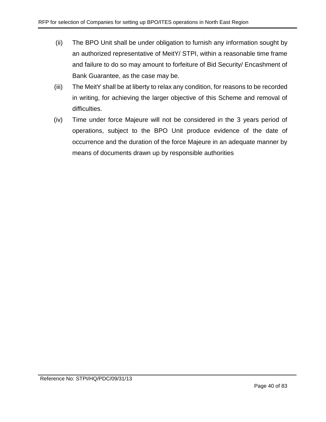- (ii) The BPO Unit shall be under obligation to furnish any information sought by an authorized representative of MeitY/ STPI, within a reasonable time frame and failure to do so may amount to forfeiture of Bid Security/ Encashment of Bank Guarantee, as the case may be.
- (iii) The MeitY shall be at liberty to relax any condition, for reasons to be recorded in writing, for achieving the larger objective of this Scheme and removal of difficulties.
- (iv) Time under force Majeure will not be considered in the 3 years period of operations, subject to the BPO Unit produce evidence of the date of occurrence and the duration of the force Majeure in an adequate manner by means of documents drawn up by responsible authorities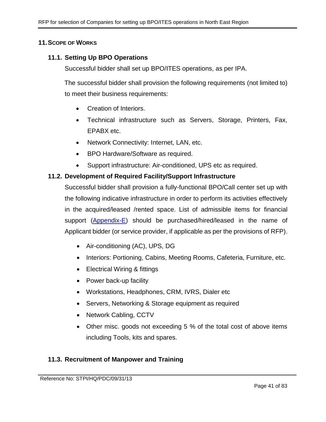### **11.SCOPE OF WORKS**

### **11.1. Setting Up BPO Operations**

Successful bidder shall set up BPO/ITES operations, as per IPA.

The successful bidder shall provision the following requirements (not limited to) to meet their business requirements:

- Creation of Interiors.
- Technical infrastructure such as Servers, Storage, Printers, Fax, EPABX etc.
- Network Connectivity: Internet, LAN, etc.
- BPO Hardware/Software as required.
- Support infrastructure: Air-conditioned, UPS etc as required.

#### **11.2. Development of Required Facility/Support Infrastructure**

Successful bidder shall provision a fully-functional BPO/Call center set up with the following indicative infrastructure in order to perform its activities effectively in the acquired/leased /rented space. List of admissible items for financial support [\(Appendix-E\)](#page-54-0) should be purchased/hired/leased in the name of Applicant bidder (or service provider, if applicable as per the provisions of RFP).

- Air-conditioning (AC), UPS, DG
- Interiors: Portioning, Cabins, Meeting Rooms, Cafeteria, Furniture, etc.
- Electrical Wiring & fittings
- Power back-up facility
- Workstations, Headphones, CRM, IVRS, Dialer etc
- Servers, Networking & Storage equipment as required
- Network Cabling, CCTV
- Other misc. goods not exceeding 5 % of the total cost of above items including Tools, kits and spares.

### **11.3. Recruitment of Manpower and Training**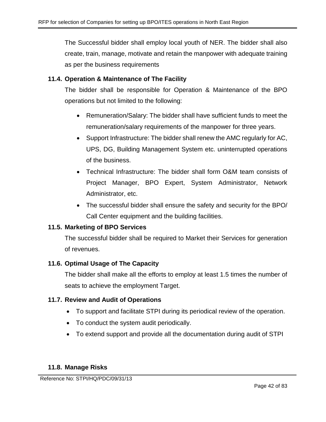The Successful bidder shall employ local youth of NER. The bidder shall also create, train, manage, motivate and retain the manpower with adequate training as per the business requirements

## **11.4. Operation & Maintenance of The Facility**

The bidder shall be responsible for Operation & Maintenance of the BPO operations but not limited to the following:

- Remuneration/Salary: The bidder shall have sufficient funds to meet the remuneration/salary requirements of the manpower for three years.
- Support Infrastructure: The bidder shall renew the AMC regularly for AC, UPS, DG, Building Management System etc. uninterrupted operations of the business.
- Technical Infrastructure: The bidder shall form O&M team consists of Project Manager, BPO Expert, System Administrator, Network Administrator, etc.
- The successful bidder shall ensure the safety and security for the BPO/ Call Center equipment and the building facilities.

## **11.5. Marketing of BPO Services**

The successful bidder shall be required to Market their Services for generation of revenues.

### **11.6. Optimal Usage of The Capacity**

The bidder shall make all the efforts to employ at least 1.5 times the number of seats to achieve the employment Target.

### **11.7. Review and Audit of Operations**

- To support and facilitate STPI during its periodical review of the operation.
- To conduct the system audit periodically.
- To extend support and provide all the documentation during audit of STPI

### **11.8. Manage Risks**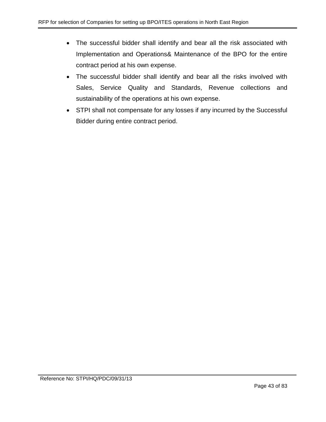- The successful bidder shall identify and bear all the risk associated with Implementation and Operations& Maintenance of the BPO for the entire contract period at his own expense.
- The successful bidder shall identify and bear all the risks involved with Sales, Service Quality and Standards, Revenue collections and sustainability of the operations at his own expense.
- STPI shall not compensate for any losses if any incurred by the Successful Bidder during entire contract period.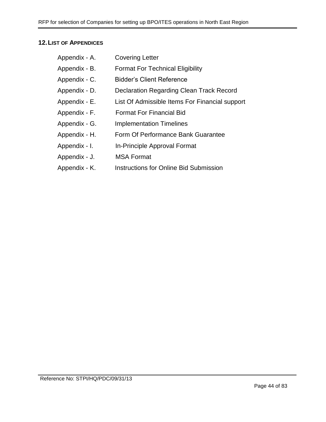## **12.LIST OF APPENDICES**

| Appendix - A. | <b>Covering Letter</b>                         |
|---------------|------------------------------------------------|
| Appendix - B. | <b>Format For Technical Eligibility</b>        |
| Appendix - C. | <b>Bidder's Client Reference</b>               |
| Appendix - D. | Declaration Regarding Clean Track Record       |
| Appendix - E. | List Of Admissible Items For Financial support |
| Appendix - F. | <b>Format For Financial Bid</b>                |
| Appendix - G. | <b>Implementation Timelines</b>                |
| Appendix - H. | Form Of Performance Bank Guarantee             |
| Appendix - I. | In-Principle Approval Format                   |
| Appendix - J. | <b>MSA Format</b>                              |
|               |                                                |

Appendix - K. Instructions for Online Bid Submission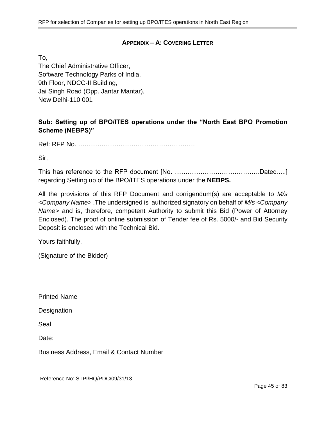## **APPENDIX – A: COVERING LETTER**

To,

The Chief Administrative Officer, Software Technology Parks of India, 9th Floor, NDCC-II Building, Jai Singh Road (Opp. Jantar Mantar), New Delhi-110 001

# **Sub: Setting up of BPO/ITES operations under the "North East BPO Promotion Scheme (NEBPS)"**

Ref: RFP No. ……………………………………………….

Sir,

This has reference to the RFP document [No. ………………………………….Dated.....] regarding Setting up of the BPO/ITES operations under the **NEBPS.**

All the provisions of this RFP Document and corrigendum(s) are acceptable to *M/s <Company Name>* .The undersigned is authorized signatory on behalf of *M/s <Company Name>* and is, therefore, competent Authority to submit this Bid (Power of Attorney Enclosed). The proof of online submission of Tender fee of Rs. 5000/- and Bid Security Deposit is enclosed with the Technical Bid.

Yours faithfully,

(Signature of the Bidder)

Printed Name

**Designation** 

Seal

Date:

Business Address, Email & Contact Number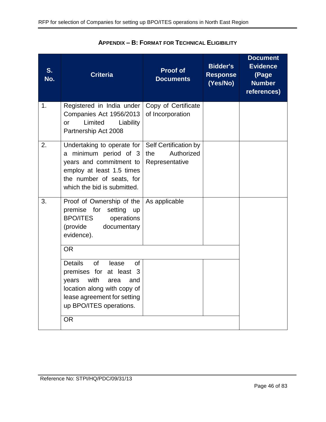| S.<br>No. | <b>Criteria</b>                                                                                                                                                                                       | <b>Proof of</b><br><b>Documents</b>                          | <b>Bidder's</b><br><b>Response</b><br>(Yes/No) | <b>Document</b><br><b>Evidence</b><br>(Page<br><b>Number</b><br>references) |
|-----------|-------------------------------------------------------------------------------------------------------------------------------------------------------------------------------------------------------|--------------------------------------------------------------|------------------------------------------------|-----------------------------------------------------------------------------|
| 1.        | Registered in India under<br>Companies Act 1956/2013<br>Limited<br>Liability<br>or<br>Partnership Act 2008                                                                                            | Copy of Certificate<br>of Incorporation                      |                                                |                                                                             |
| 2.        | Undertaking to operate for<br>a minimum period of 3<br>years and commitment to<br>employ at least 1.5 times<br>the number of seats, for<br>which the bid is submitted.                                | Self Certification by<br>Authorized<br>the<br>Representative |                                                |                                                                             |
| 3.        | Proof of Ownership of the<br>premise for setting<br><b>up</b><br><b>BPO/ITES</b><br>operations<br>(provide<br>documentary<br>evidence).<br><b>OR</b>                                                  | As applicable                                                |                                                |                                                                             |
|           | <b>Details</b><br><b>of</b><br>lease<br><b>of</b><br>premises for at least 3<br>with<br>years<br>area<br>and<br>location along with copy of<br>lease agreement for setting<br>up BPO/ITES operations. |                                                              |                                                |                                                                             |
|           | <b>OR</b>                                                                                                                                                                                             |                                                              |                                                |                                                                             |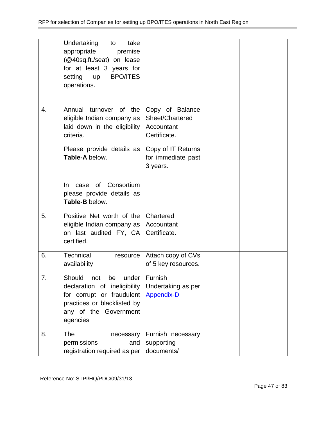|    | Undertaking<br>take<br>to<br>appropriate<br>premise<br>(@40sq.ft./seat) on lease<br>for at least 3 years for<br><b>BPO/ITES</b><br>setting<br><b>up</b><br>operations. |                                                                  |  |
|----|------------------------------------------------------------------------------------------------------------------------------------------------------------------------|------------------------------------------------------------------|--|
| 4. | Annual turnover of the<br>eligible Indian company as<br>laid down in the eligibility<br>criteria.                                                                      | Copy of Balance<br>Sheet/Chartered<br>Accountant<br>Certificate. |  |
|    | Please provide details as<br>Table-A below.                                                                                                                            | Copy of IT Returns<br>for immediate past<br>3 years.             |  |
|    | of Consortium<br>In.<br>case<br>please provide details as<br>Table-B below.                                                                                            |                                                                  |  |
| 5. | Positive Net worth of the<br>eligible Indian company as<br>on last audited FY, CA<br>certified.                                                                        | Chartered<br>Accountant<br>Certificate.                          |  |
| 6. | Technical<br>resource<br>availability                                                                                                                                  | Attach copy of CVs<br>of 5 key resources.                        |  |
| 7. | Should<br>not<br>be<br>under<br>declaration of ineligibility<br>for corrupt or fraudulent<br>practices or blacklisted by<br>any of the Government<br>agencies          | Furnish<br>Undertaking as per<br><b>Appendix-D</b>               |  |
| 8. | <b>The</b><br>necessary<br>permissions<br>and<br>registration required as per                                                                                          | Furnish necessary<br>supporting<br>documents/                    |  |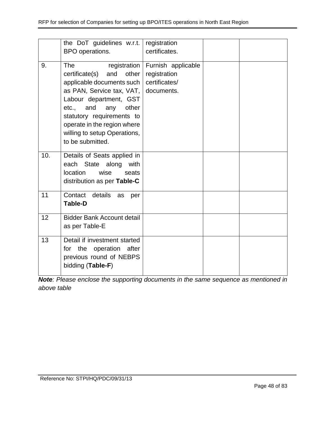|     | the DoT guidelines w.r.t.<br>BPO operations.                                                                                                                                                                                                                                              | registration<br>certificates.                                     |  |
|-----|-------------------------------------------------------------------------------------------------------------------------------------------------------------------------------------------------------------------------------------------------------------------------------------------|-------------------------------------------------------------------|--|
| 9.  | The<br>registration<br>certificate(s)<br>and<br>other<br>applicable documents such<br>as PAN, Service tax, VAT,<br>Labour department, GST<br>other<br>and<br>etc.,<br>any<br>statutory requirements to<br>operate in the region where<br>willing to setup Operations,<br>to be submitted. | Furnish applicable<br>registration<br>certificates/<br>documents. |  |
| 10. | Details of Seats applied in<br>State along<br>each<br>with<br>location<br>wise<br>seats<br>distribution as per Table-C                                                                                                                                                                    |                                                                   |  |
| 11  | Contact details<br>as<br>per<br><b>Table-D</b>                                                                                                                                                                                                                                            |                                                                   |  |
| 12  | <b>Bidder Bank Account detail</b><br>as per Table-E                                                                                                                                                                                                                                       |                                                                   |  |
| 13  | Detail if investment started<br>for the operation after<br>previous round of NEBPS<br>bidding (Table-F)                                                                                                                                                                                   |                                                                   |  |

*Note: Please enclose the supporting documents in the same sequence as mentioned in above table*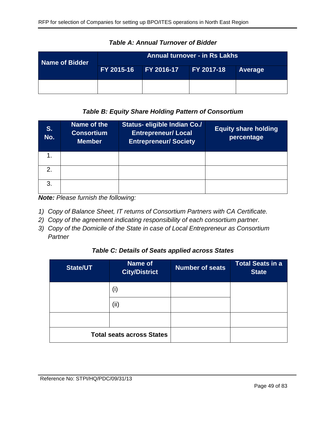| Name of Bidder | <b>Annual turnover - in Rs Lakhs</b> |  |                   |         |
|----------------|--------------------------------------|--|-------------------|---------|
|                | FY 2015-16 FY 2016-17                |  | <b>FY 2017-18</b> | Average |
|                |                                      |  |                   |         |

*Table A: Annual Turnover of Bidder*

## *Table B: Equity Share Holding Pattern of Consortium*

| S.<br>No. | Name of the<br><b>Consortium</b><br><b>Member</b> | Status- eligible Indian Co./<br><b>Entrepreneur/ Local</b><br><b>Entrepreneur/Society</b> | <b>Equity share holding</b><br>percentage |
|-----------|---------------------------------------------------|-------------------------------------------------------------------------------------------|-------------------------------------------|
|           |                                                   |                                                                                           |                                           |
| 2.        |                                                   |                                                                                           |                                           |
| 3.        |                                                   |                                                                                           |                                           |

*Note: Please furnish the following:*

- *1) Copy of Balance Sheet, IT returns of Consortium Partners with CA Certificate.*
- *2) Copy of the agreement indicating responsibility of each consortium partner.*
- *3) Copy of the Domicile of the State in case of Local Entrepreneur as Consortium Partner*

## *Table C: Details of Seats applied across States*

| <b>State/UT</b>                  | Name of<br><b>City/District</b> | <b>Number of seats</b> | <b>Total Seats in a</b><br><b>State</b> |
|----------------------------------|---------------------------------|------------------------|-----------------------------------------|
|                                  | (i)                             |                        |                                         |
|                                  | (ii)                            |                        |                                         |
|                                  |                                 |                        |                                         |
| <b>Total seats across States</b> |                                 |                        |                                         |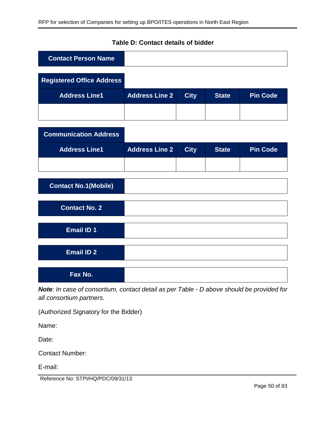## **Table D: Contact details of bidder**

| <b>Contact Person Name</b>       |                       |             |              |                 |
|----------------------------------|-----------------------|-------------|--------------|-----------------|
| <b>Registered Office Address</b> |                       |             |              |                 |
| <b>Address Line1</b>             | <b>Address Line 2</b> | <b>City</b> | <b>State</b> | <b>Pin Code</b> |
|                                  |                       |             |              |                 |
| <b>Communication Address</b>     |                       |             |              |                 |
|                                  |                       |             |              |                 |
| <b>Address Line1</b>             | <b>Address Line 2</b> | <b>City</b> | <b>State</b> | <b>Pin Code</b> |
|                                  |                       |             |              |                 |
| <b>Contact No.1(Mobile)</b>      |                       |             |              |                 |
| <b>Contact No. 2</b>             |                       |             |              |                 |
| <b>Email ID 1</b>                |                       |             |              |                 |
|                                  |                       |             |              |                 |
| <b>Email ID 2</b>                |                       |             |              |                 |
| Fax No.                          |                       |             |              |                 |

*Note: In case of consortium, contact detail as per Table - D above should be provided for all consortium partners.*

(Authorized Signatory for the Bidder)

Name:

Date:

Contact Number:

E-mail:

Reference No: STPI/HQ/PDC/09/31/13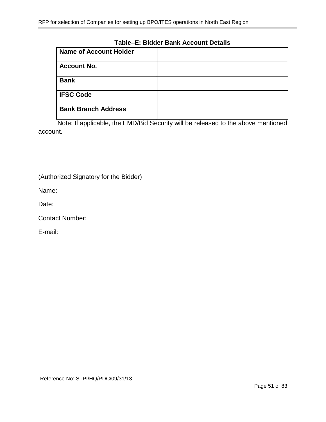### **Table–E: Bidder Bank Account Details**

| <b>Name of Account Holder</b> |  |
|-------------------------------|--|
| <b>Account No.</b>            |  |
| <b>Bank</b>                   |  |
| <b>IFSC Code</b>              |  |
| <b>Bank Branch Address</b>    |  |

Note: If applicable, the EMD/Bid Security will be released to the above mentioned account.

(Authorized Signatory for the Bidder)

Name:

Date:

Contact Number:

E-mail: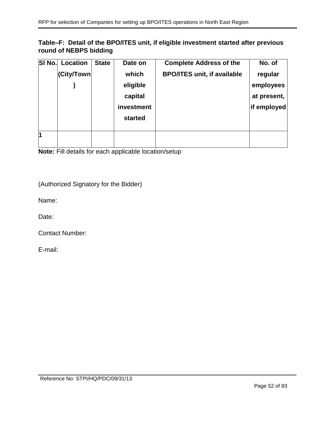## **Table–F: Detail of the BPO/ITES unit, if eligible investment started after previous round of NEBPS bidding**

| SI No. | <b>Location</b> | <b>State</b> | Date on    | <b>Complete Address of the</b>     | No. of      |
|--------|-----------------|--------------|------------|------------------------------------|-------------|
|        | (City/Town      |              | which      | <b>BPO/ITES unit, if available</b> | regular     |
|        |                 |              | eligible   |                                    | employees   |
|        |                 |              | capital    |                                    | at present, |
|        |                 |              | investment |                                    | if employed |
|        |                 |              | started    |                                    |             |
|        |                 |              |            |                                    |             |
| 1      |                 |              |            |                                    |             |
|        |                 |              |            |                                    |             |

**Note:** Fill details for each applicable location/setup

(Authorized Signatory for the Bidder)

Name:

Date:

Contact Number:

E-mail: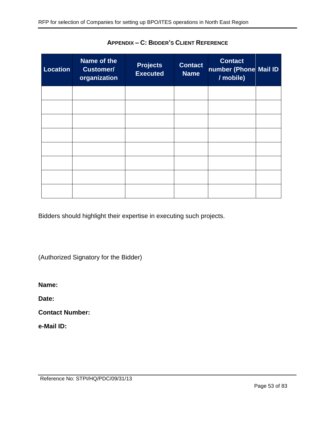| <b>Location</b> | Name of the<br><b>Customer/</b><br>organization | <b>Projects</b><br><b>Executed</b> | <b>Contact</b><br><b>Name</b> | <b>Contact</b><br>number (Phone Mail ID<br>/ mobile) |  |
|-----------------|-------------------------------------------------|------------------------------------|-------------------------------|------------------------------------------------------|--|
|                 |                                                 |                                    |                               |                                                      |  |
|                 |                                                 |                                    |                               |                                                      |  |
|                 |                                                 |                                    |                               |                                                      |  |
|                 |                                                 |                                    |                               |                                                      |  |
|                 |                                                 |                                    |                               |                                                      |  |
|                 |                                                 |                                    |                               |                                                      |  |
|                 |                                                 |                                    |                               |                                                      |  |
|                 |                                                 |                                    |                               |                                                      |  |

**APPENDIX – C: BIDDER'S CLIENT REFERENCE**

Bidders should highlight their expertise in executing such projects.

(Authorized Signatory for the Bidder)

**Name:** 

**Date:** 

**Contact Number:** 

**e-Mail ID:**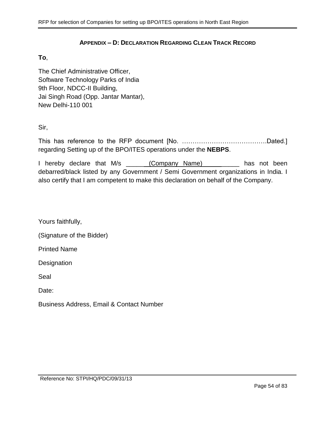#### **APPENDIX – D: DECLARATION REGARDING CLEAN TRACK RECORD**

#### <span id="page-53-0"></span>**To**,

The Chief Administrative Officer, Software Technology Parks of India 9th Floor, NDCC-II Building, Jai Singh Road (Opp. Jantar Mantar), New Delhi-110 001

Sir,

This has reference to the RFP document [No. ………………………………….Dated.] regarding Setting up of the BPO/ITES operations under the **NEBPS**.

I hereby declare that M/s \_\_\_\_\_ (Company Name) \_\_\_\_\_\_\_\_ has not been debarred/black listed by any Government / Semi Government organizations in India. I also certify that I am competent to make this declaration on behalf of the Company.

Yours faithfully,

(Signature of the Bidder)

Printed Name

**Designation** 

Seal

Date:

Business Address, Email & Contact Number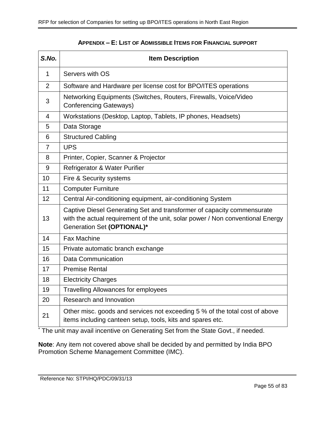<span id="page-54-0"></span>

| S.No.          | <b>Item Description</b>                                                                                                                                                                |
|----------------|----------------------------------------------------------------------------------------------------------------------------------------------------------------------------------------|
| $\mathbf 1$    | Servers with OS                                                                                                                                                                        |
| $\overline{2}$ | Software and Hardware per license cost for BPO/ITES operations                                                                                                                         |
| 3              | Networking Equipments (Switches, Routers, Firewalls, Voice/Video<br><b>Conferencing Gateways)</b>                                                                                      |
| 4              | Workstations (Desktop, Laptop, Tablets, IP phones, Headsets)                                                                                                                           |
| 5              | Data Storage                                                                                                                                                                           |
| 6              | <b>Structured Cabling</b>                                                                                                                                                              |
| $\overline{7}$ | <b>UPS</b>                                                                                                                                                                             |
| 8              | Printer, Copier, Scanner & Projector                                                                                                                                                   |
| 9              | Refrigerator & Water Purifier                                                                                                                                                          |
| 10             | Fire & Security systems                                                                                                                                                                |
| 11             | <b>Computer Furniture</b>                                                                                                                                                              |
| 12             | Central Air-conditioning equipment, air-conditioning System                                                                                                                            |
| 13             | Captive Diesel Generating Set and transformer of capacity commensurate<br>with the actual requirement of the unit, solar power / Non conventional Energy<br>Generation Set (OPTIONAL)* |
| 14             | <b>Fax Machine</b>                                                                                                                                                                     |
| 15             | Private automatic branch exchange                                                                                                                                                      |
| 16             | <b>Data Communication</b>                                                                                                                                                              |
| 17             | <b>Premise Rental</b>                                                                                                                                                                  |
| 18             | <b>Electricity Charges</b>                                                                                                                                                             |
| 19             | <b>Travelling Allowances for employees</b>                                                                                                                                             |
| 20             | Research and Innovation                                                                                                                                                                |
| 21             | Other misc. goods and services not exceeding 5 % of the total cost of above<br>items including canteen setup, tools, kits and spares etc.                                              |

#### **APPENDIX – E: LIST OF ADMISSIBLE ITEMS FOR FINANCIAL SUPPORT**

\* The unit may avail incentive on Generating Set from the State Govt., if needed.

**Note**: Any item not covered above shall be decided by and permitted by India BPO Promotion Scheme Management Committee (IMC).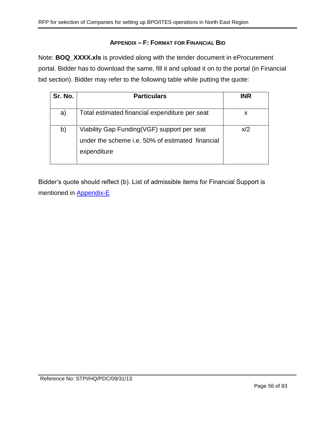## **APPENDIX – F: FORMAT FOR FINANCIAL BID**

Note: **BOQ\_XXXX.xls** is provided along with the tender document in eProcurement portal. Bidder has to download the same, fill it and upload it on to the portal (in Financial bid section). Bidder may refer to the following table while putting the quote:

| Sr. No. | <b>Particulars</b>                                                                                             | <b>INR</b> |
|---------|----------------------------------------------------------------------------------------------------------------|------------|
| a)      | Total estimated financial expenditure per seat                                                                 | X          |
| b)      | Viability Gap Funding(VGF) support per seat<br>under the scheme i.e. 50% of estimated financial<br>expenditure | x/2        |

Bidder's quote should reflect (b). List of admissible items for Financial Support is mentioned in [Appendix-E](#page-54-0)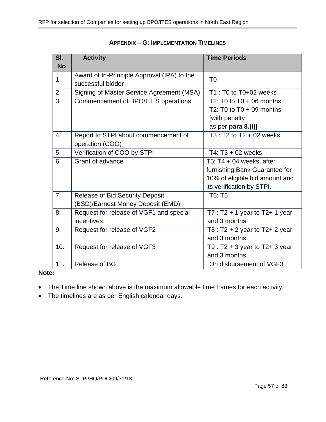| SI.       | <b>Activity</b>                             | <b>Time Periods</b>                 |
|-----------|---------------------------------------------|-------------------------------------|
| <b>No</b> |                                             |                                     |
| 1.        | Award of In-Principle Approval (IPA) to the | T <sub>0</sub>                      |
|           | successful bidder                           |                                     |
| 2.        | Signing of Master Service Agreement (MSA)   | T1 : T0 to T0+02 weeks              |
| 3.        | Commencement of BPO/ITES operations         | T2: T0 to $T0 + 06$ months          |
|           |                                             | T2: T0 to $T0 + 09$ months          |
|           |                                             | [with penalty                       |
|           |                                             | as per para 8.(i)]                  |
| 4.        | Report to STPI about commencement of        | $T3: T2$ to $T2 + 02$ weeks         |
|           | operation (COO)                             |                                     |
| 5.        | Verification of COO by STPI                 | T4: $T3 + 02$ weeks                 |
| 6.        | Grant of advance                            | T5: $T4 + 04$ weeks, after          |
|           |                                             | furnishing Bank Guarantee for       |
|           |                                             | 10% of eligible bid amount and      |
|           |                                             | its verification by STPI.           |
| 7.        | <b>Release of Bid Security Deposit</b>      | T6: T5                              |
|           | (BSD)/Earnest Money Deposit (EMD)           |                                     |
| 8.        | Request for release of VGF1 and special     | $T7: T2 + 1$ year to T2+ 1 year     |
|           | incentives                                  | and 3 months                        |
| 9.        | Request for release of VGF2                 | T8 : $T2 + 2$ year to $T2 + 2$ year |
|           |                                             | and 3 months                        |
| 10.       | Request for release of VGF3                 | T9 : $T2 + 3$ year to $T2 + 3$ year |
|           |                                             | and 3 months                        |
| 11.       | Release of BG                               | On disbursement of VGF3             |

#### **APPENDIX – G: IMPLEMENTATION TIMELINES**

#### **Note:**

- The Time line shown above is the maximum allowable time frames for each activity.
- The timelines are as per English calendar days.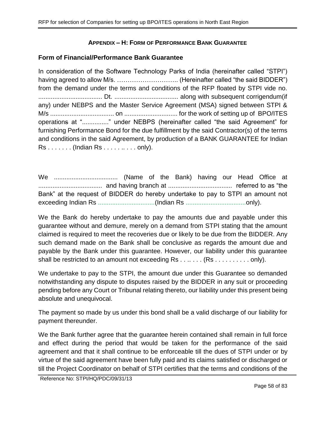## **APPENDIX – H: FORM OF PERFORMANCE BANK GUARANTEE**

## **Form of Financial/Performance Bank Guarantee**

In consideration of the Software Technology Parks of India (hereinafter called "STPI") having agreed to allow M/s. ……………………….. (Hereinafter called "the said BIDDER") from the demand under the terms and conditions of the RFP floated by STPI vide no. .................................... Dt. .................................... along with subsequent corrigendum(if any) under NEBPS and the Master Service Agreement (MSA) signed between STPI & M/s .................................... on .............................. for the work of setting up of BPO/ITES operations at "..............." under NEBPS (hereinafter called "the said Agreement" for furnishing Performance Bond for the due fulfillment by the said Contractor(s) of the terms and conditions in the said Agreement, by production of a BANK GUARANTEE for Indian Rs . . . . . . . (Indian Rs . . . . . .. . . . only).

We .................................... (Name of the Bank) having our Head Office at .................................... and having branch at .................................... referred to as "the Bank" at the request of BIDDER do hereby undertake to pay to STPI an amount not exceeding Indian Rs ................................(Indian Rs ..................................only).

We the Bank do hereby undertake to pay the amounts due and payable under this guarantee without and demure, merely on a demand from STPI stating that the amount claimed is required to meet the recoveries due or likely to be due from the BIDDER. Any such demand made on the Bank shall be conclusive as regards the amount due and payable by the Bank under this guarantee. However, our liability under this guarantee shall be restricted to an amount not exceeding Rs . . . . . . . (Rs . . . . . . . . . . only).

We undertake to pay to the STPI, the amount due under this Guarantee so demanded notwithstanding any dispute to disputes raised by the BIDDER in any suit or proceeding pending before any Court or Tribunal relating thereto, our liability under this present being absolute and unequivocal.

The payment so made by us under this bond shall be a valid discharge of our liability for payment thereunder.

We the Bank further agree that the guarantee herein contained shall remain in full force and effect during the period that would be taken for the performance of the said agreement and that it shall continue to be enforceable till the dues of STPI under or by virtue of the said agreement have been fully paid and its claims satisfied or discharged or till the Project Coordinator on behalf of STPI certifies that the terms and conditions of the

Reference No: STPI/HQ/PDC/09/31/13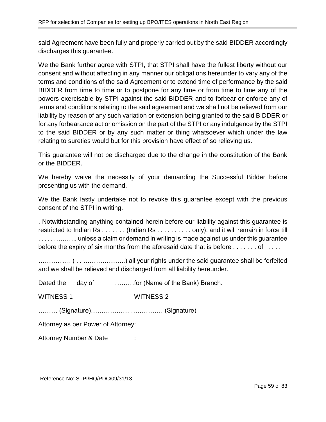said Agreement have been fully and properly carried out by the said BIDDER accordingly discharges this guarantee.

We the Bank further agree with STPI, that STPI shall have the fullest liberty without our consent and without affecting in any manner our obligations hereunder to vary any of the terms and conditions of the said Agreement or to extend time of performance by the said BIDDER from time to time or to postpone for any time or from time to time any of the powers exercisable by STPI against the said BIDDER and to forbear or enforce any of terms and conditions relating to the said agreement and we shall not be relieved from our liability by reason of any such variation or extension being granted to the said BIDDER or for any forbearance act or omission on the part of the STPI or any indulgence by the STPI to the said BIDDER or by any such matter or thing whatsoever which under the law relating to sureties would but for this provision have effect of so relieving us.

This guarantee will not be discharged due to the change in the constitution of the Bank or the BIDDER.

We hereby waive the necessity of your demanding the Successful Bidder before presenting us with the demand.

We the Bank lastly undertake not to revoke this guarantee except with the previous consent of the STPI in writing.

. Notwithstanding anything contained herein before our liability against this guarantee is restricted to Indian Rs . . . . . . . (Indian Rs . . . . . . . . . . only). and it will remain in force till . . . . . ……….. unless a claim or demand in writing is made against us under this guarantee before the expiry of six months from the aforesaid date that is before  $\dots \dots$  of  $\dots$ 

……….. …. ( . . ………………..) all your rights under the said guarantee shall be forfeited and we shall be relieved and discharged from all liability hereunder.

| Dated the day of                   |  | for (Name of the Bank) Branch. |  |  |  |
|------------------------------------|--|--------------------------------|--|--|--|
| <b>WITNESS 1</b>                   |  | <b>WITNESS 2</b>               |  |  |  |
|                                    |  |                                |  |  |  |
| Attorney as per Power of Attorney: |  |                                |  |  |  |
| Attorney Number & Date             |  | ٠<br>$\blacksquare$            |  |  |  |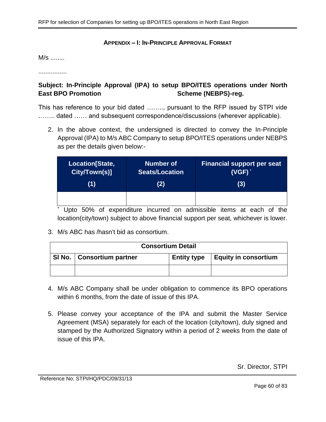#### **APPENDIX – I: IN-PRINCIPLE APPROVAL FORMAT**

M/s ........

................

# **Subject: In-Principle Approval (IPA) to setup BPO/ITES operations under North**  East BPO Promotion **Scheme** (NEBPS)-reg.

This has reference to your bid dated …….., pursuant to the RFP issued by STPI vide ........ dated ...... and subsequent correspondence/discussions (wherever applicable).

2. In the above context, the undersigned is directed to convey the In-Principle Approval (IPA) to M/s ABC Company to setup BPO/ITES operations under NEBPS as per the details given below:-

| Location[State, | <b>Number of</b> | <b>Financial support per seat</b> |
|-----------------|------------------|-----------------------------------|
| City/Town(s)]   | Seats/Location   | $(VGF)^*$                         |
| (1)             | (2)              | (3)                               |
|                 |                  |                                   |

Upto 50% of expenditure incurred on admissible items at each of the location(city/town) subject to above financial support per seat, whichever is lower.

3. M/s ABC has /hasn't bid as consortium.

| <b>Consortium Detail</b> |                                                                           |  |  |  |
|--------------------------|---------------------------------------------------------------------------|--|--|--|
|                          | SI No.   Consortium partner<br>Equity in consortium<br><b>Entity type</b> |  |  |  |
|                          |                                                                           |  |  |  |

- 4. M/s ABC Company shall be under obligation to commence its BPO operations within 6 months, from the date of issue of this IPA.
- 5. Please convey your acceptance of the IPA and submit the Master Service Agreement (MSA) separately for each of the location (city/town), duly signed and stamped by the Authorized Signatory within a period of 2 weeks from the date of issue of this IPA.

Sr. Director, STPI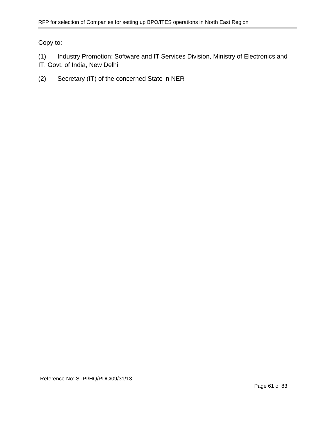Copy to:

(1) Industry Promotion: Software and IT Services Division, Ministry of Electronics and IT, Govt. of India, New Delhi

(2) Secretary (IT) of the concerned State in NER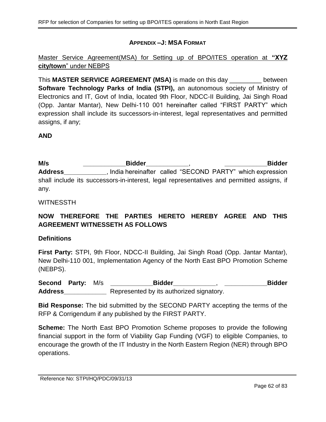## **APPENDIX –J: MSA FORMAT**

Master Service Agreement(MSA) for Setting up of BPO/ITES operation at **"XYZ city/town**" under NEBPS

This **MASTER SERVICE AGREEMENT (MSA)** is made on this day \_\_\_\_\_\_\_\_\_ between **Software Technology Parks of India (STPI),** an autonomous society of Ministry of Electronics and IT, Govt of India, located 9th Floor, NDCC-II Building, Jai Singh Road (Opp. Jantar Mantar), New Delhi-110 001 hereinafter called "FIRST PARTY" which expression shall include its successors-in-interest, legal representatives and permitted assigns, if any;

### **AND**

**M/s \_\_\_\_\_\_\_\_\_\_\_\_Bidder\_\_\_\_\_\_\_\_\_\_\_\_**, **\_\_\_\_\_\_\_\_\_\_\_\_Bidder Address\_\_\_\_\_\_\_\_\_\_\_\_**, India hereinafter called "SECOND PARTY" which expression shall include its successors-in-interest, legal representatives and permitted assigns, if any.

### WITNESSTH

## **NOW THEREFORE THE PARTIES HERETO HEREBY AGREE AND THIS AGREEMENT WITNESSETH AS FOLLOWS**

### **Definitions**

**First Party:** STPI, 9th Floor, NDCC-II Building, Jai Singh Road (Opp. Jantar Mantar), New Delhi-110 001, Implementation Agency of the North East BPO Promotion Scheme (NEBPS).

**Second Party:** M/s **\_\_\_\_\_\_\_\_\_\_\_\_Bidder\_\_\_\_\_\_\_\_\_\_\_\_**, **\_\_\_\_\_\_\_\_\_\_\_\_Bidder Address\_\_\_\_\_\_\_\_\_\_\_\_** Represented by its authorized signatory.

**Bid Response:** The bid submitted by the SECOND PARTY accepting the terms of the RFP & Corrigendum if any published by the FIRST PARTY.

**Scheme:** The North East BPO Promotion Scheme proposes to provide the following financial support in the form of Viability Gap Funding (VGF) to eligible Companies, to encourage the growth of the IT Industry in the North Eastern Region (NER) through BPO operations.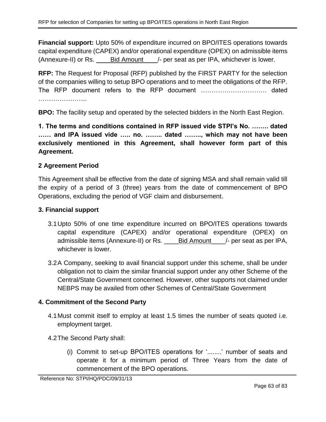**Financial support:** Upto 50% of expenditure incurred on BPO/ITES operations towards capital expenditure (CAPEX) and/or operational expenditure (OPEX) on admissible items (Annexure-II) or Rs. \_\_\_\_Bid Amount\_\_\_\_/- per seat as per IPA, whichever is lower.

**RFP:** The Request for Proposal (RFP) published by the FIRST PARTY for the selection of the companies willing to setup BPO operations and to meet the obligations of the RFP. The RFP document refers to the RFP document …………………………. dated ……………………

**BPO:** The facility setup and operated by the selected bidders in the North East Region.

**1. The terms and conditions contained in RFP issued vide STPI's No. …….. dated …… and IPA issued vide ….. no. …….. dated …….., which may not have been exclusively mentioned in this Agreement, shall however form part of this Agreement.**

## **2 Agreement Period**

This Agreement shall be effective from the date of signing MSA and shall remain valid till the expiry of a period of 3 (three) years from the date of commencement of BPO Operations, excluding the period of VGF claim and disbursement.

### **3. Financial support**

- 3.1Upto 50% of one time expenditure incurred on BPO/ITES operations towards capital expenditure (CAPEX) and/or operational expenditure (OPEX) on admissible items (Annexure-II) or Rs. \_\_\_\_Bid Amount\_\_\_\_/- per seat as per IPA, whichever is lower.
- 3.2A Company, seeking to avail financial support under this scheme, shall be under obligation not to claim the similar financial support under any other Scheme of the Central/State Government concerned. However, other supports not claimed under NEBPS may be availed from other Schemes of Central/State Government

## **4. Commitment of the Second Party**

- 4.1Must commit itself to employ at least 1.5 times the number of seats quoted i.e. employment target.
- 4.2The Second Party shall:
	- (i) Commit to set-up BPO/ITES operations for '........' number of seats and operate it for a minimum period of Three Years from the date of commencement of the BPO operations.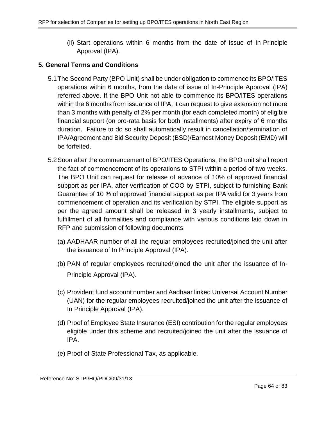(ii) Start operations within 6 months from the date of issue of In-Principle Approval (IPA).

## **5. General Terms and Conditions**

- 5.1The Second Party (BPO Unit) shall be under obligation to commence its BPO/ITES operations within 6 months, from the date of issue of In-Principle Approval (IPA) referred above. If the BPO Unit not able to commence its BPO/ITES operations within the 6 months from issuance of IPA, it can request to give extension not more than 3 months with penalty of 2% per month (for each completed month) of eligible financial support (on pro-rata basis for both installments) after expiry of 6 months duration. Failure to do so shall automatically result in cancellation/termination of IPA/Agreement and Bid Security Deposit (BSD)/Earnest Money Deposit (EMD) will be forfeited.
- <span id="page-63-0"></span>5.2Soon after the commencement of BPO/ITES Operations, the BPO unit shall report the fact of commencement of its operations to STPI within a period of two weeks. The BPO Unit can request for release of advance of 10% of approved financial support as per IPA, after verification of COO by STPI, subject to furnishing Bank Guarantee of 10 *%* of approved financial support as per IPA valid for 3 years from commencement of operation and its verification by STPI. The eligible support as per the agreed amount shall be released in 3 yearly installments, subject to fulfillment of all formalities and compliance with various conditions laid down in RFP and submission of following documents:
	- (a) AADHAAR number of all the regular employees recruited/joined the unit after the issuance of In Principle Approval (IPA).
	- (b) PAN of regular employees recruited/joined the unit after the issuance of In-Principle Approval (IPA).
	- (c) Provident fund account number and Aadhaar linked Universal Account Number (UAN) for the regular employees recruited/joined the unit after the issuance of In Principle Approval (IPA).
	- (d) Proof of Employee State Insurance (ESI) contribution for the regular employees eligible under this scheme and recruited/joined the unit after the issuance of IPA.
	- (e) Proof of State Professional Tax, as applicable.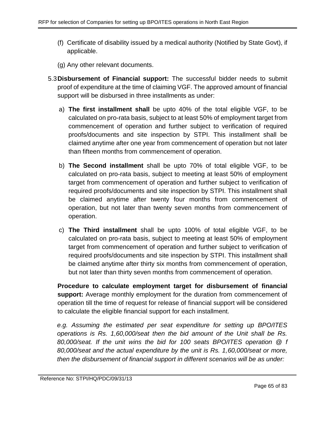- (f) Certificate of disability issued by a medical authority (Notified by State Govt), if applicable.
- (g) Any other relevant documents.
- 5.3**Disbursement of Financial support:** The successful bidder needs to submit proof of expenditure at the time of claiming VGF. The approved amount of financial support will be disbursed in three installments as under:
	- a) **The first installment shall** be upto 40% of the total eligible VGF, to be calculated on pro-rata basis, subject to at least 50% of employment target from commencement of operation and further subject to verification of required proofs/documents and site inspection by STPI. This installment shall be claimed anytime after one year from commencement of operation but not later than fifteen months from commencement of operation.
	- b) **The Second installment** shall be upto 70% of total eligible VGF, to be calculated on pro-rata basis, subject to meeting at least 50% of employment target from commencement of operation and further subject to verification of required proofs/documents and site inspection by STPI. This installment shall be claimed anytime after twenty four months from commencement of operation, but not later than twenty seven months from commencement of operation.
	- c) **The Third installment** shall be upto 100% of total eligible VGF, to be calculated on pro-rata basis, subject to meeting at least 50% of employment target from commencement of operation and further subject to verification of required proofs/documents and site inspection by STPI. This installment shall be claimed anytime after thirty six months from commencement of operation, but not later than thirty seven months from commencement of operation.

**Procedure to calculate employment target for disbursement of financial support:** Average monthly employment for the duration from commencement of operation till the time of request for release of financial support will be considered to calculate the eligible financial support for each installment.

*e.g. Assuming the estimated per seat expenditure for setting up BPO/ITES operations is Rs. 1,60,000/seat then the bid amount of the Unit shall be Rs. 80,000/seat. If the unit wins the bid for 100 seats BPO/ITES operation @ f 80,000/seat and the actual expenditure by the unit is Rs. 1,60,000/seat or more, then the disbursement of financial support in different scenarios will be as under:*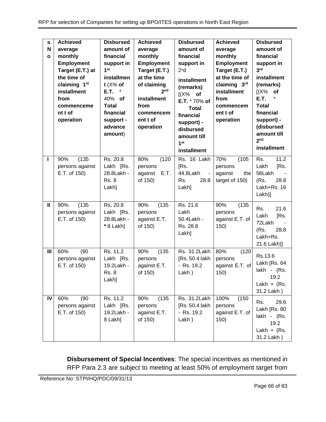| S.<br>N<br>$\mathbf{o}$ | <b>Achieved</b><br>average<br>monthly<br><b>Employment</b><br>Target (E.T.) at<br>the time of<br>claiming 1st<br>installment<br>from<br>commenceme<br>nt t of<br>operation | <b>Disbursed</b><br>amount of<br>financial<br>support in<br>1 <sup>st</sup><br>installmen<br>$t$ ( $X\%$ of<br>$\star$<br>E.T.<br>40% of<br><b>Total</b><br>financial<br>support -<br>advance<br>amount) | <b>Achieved</b><br>average<br>monthly<br><b>Employment</b><br>Target (E.T.)<br>at the time<br>of claiming<br>2 <sub>nd</sub><br><b>installment</b><br>from<br>commencem<br>ent t of<br>operation | <b>Disbursed</b><br>amount of<br>financial<br>support in<br>2 <sup>n</sup> d<br>installment<br>(remarks)<br>$[(X\%$ of<br>E.T. * 70% of<br><b>Total</b><br>financial<br>support) -<br>disbursed<br>amount till<br>1 <sup>st</sup><br>installment | <b>Achieved</b><br>average<br>monthly<br><b>Employment</b><br>Target (E.T.)<br>at the time of<br>claiming 3rd<br>installment<br>from<br>commencem<br>ent t of<br>operation | <b>Disbursed</b><br>amount of<br>financial<br>support in<br>3 <sup>rd</sup><br>installment<br>(remarks)<br>(X%<br>of<br>E.T.<br><b>Total</b><br>financial<br>support) -<br>(disbursed<br>amount till<br>2 <sub>nd</sub><br>installment |
|-------------------------|----------------------------------------------------------------------------------------------------------------------------------------------------------------------------|----------------------------------------------------------------------------------------------------------------------------------------------------------------------------------------------------------|--------------------------------------------------------------------------------------------------------------------------------------------------------------------------------------------------|--------------------------------------------------------------------------------------------------------------------------------------------------------------------------------------------------------------------------------------------------|----------------------------------------------------------------------------------------------------------------------------------------------------------------------------|----------------------------------------------------------------------------------------------------------------------------------------------------------------------------------------------------------------------------------------|
| ı                       | (135)<br>90%<br>persons against<br>E.T. of 150)                                                                                                                            | Rs. 20.8<br>Lakh [Rs.<br>28.8Lakh -<br><b>Rs. 8</b><br>Lakh]                                                                                                                                             | 80%<br>(120)<br>persons<br>E.T.<br>against<br>of 150)                                                                                                                                            | $\overline{\text{Rs}}$ . 16 Lakh<br>[Rs.<br>44.8Lakh<br>$\sim$<br>Rs.<br>28.8<br>Lakh]                                                                                                                                                           | 70%<br>(105)<br>persons<br>against<br>the<br>target of 150)                                                                                                                | 11.2<br>Rs.<br>Lakh<br>[Rs.<br>56Lakh<br>28.8<br>(Rs.<br>Lakh+Rs. 16<br>Lakh)]                                                                                                                                                         |
| Ш                       | (135)<br>90%<br>persons against<br>E.T. of 150)                                                                                                                            | Rs. 20.8<br>Lakh [Rs.<br>28.8Lakh -<br>* 8 Lakh]                                                                                                                                                         | 90%<br>(135)<br>persons<br>against E.T.<br>of 150)                                                                                                                                               | Rs. 21.6<br>Lakh<br>50.4Lakh -<br>Rs. 28.8<br>Lakh]                                                                                                                                                                                              | 90%<br>(135)<br>persons<br>against E.T. of<br>150)                                                                                                                         | 21.6<br>Rs.<br>Lakh<br>[Rs.<br>72Lakh<br>(Rs.<br>28.8<br>Lakh+Rs.<br>21.6 Lakh)]                                                                                                                                                       |
| III                     | 60%<br>(90)<br>persons against<br>E.T. of 150)                                                                                                                             | Rs. 11.2<br>Lakh [Rs.<br>19.2Lakh -<br><b>Rs. 8</b><br>Lakh]                                                                                                                                             | (135)<br>90%<br>persons<br>against E.T.<br>of 150)                                                                                                                                               | Rs. 31.2Lakh<br>[Rs. 50.4 lakh<br>- Rs. 19.2<br>Lakh)                                                                                                                                                                                            | 80%<br>(120)<br>persons<br>against E.T. of<br>150)                                                                                                                         | Rs.13.6<br>Lakh [Rs. 64<br>lakh - (Rs.<br>19.2<br>Lakh + $(Rs.$<br>31.2 Lakh)                                                                                                                                                          |
| IV                      | 60%<br>(90)<br>persons against<br>E.T. of 150)                                                                                                                             | Rs. 11.2<br>Lakh [Rs.<br>19.2Lakh -<br>8 Lakh]                                                                                                                                                           | (135)<br>90%<br>persons<br>against E.T.<br>of 150)                                                                                                                                               | Rs. 31.2Lakh<br>[Rs. 50.4 lakh<br>- Rs. 19.2<br>Lakh)                                                                                                                                                                                            | 100%<br>(150)<br>persons<br>against E.T. of<br>150)                                                                                                                        | 29.6<br>Rs.<br>Lakh [Rs. 80<br>lakh - (Rs.<br>19.2<br>Lakh + $(Rs.$<br>31.2 Lakh)                                                                                                                                                      |

**Disbursement of Special Incentives**: The special incentives as mentioned in RFP Para [2.3](#page-6-0) are subject to meeting at least 50% of employment target from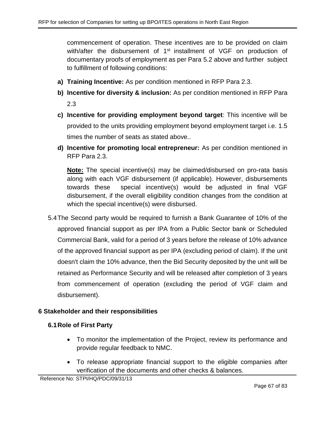commencement of operation. These incentives are to be provided on claim with/after the disbursement of 1<sup>st</sup> installment of VGF on production of documentary proofs of employment as per Para [5.2](#page-63-0) above and further subject to fulfillment of following conditions:

- **a) Training Incentive:** As per condition mentioned in RFP Para [2.3.](#page-6-0)
- **b) Incentive for diversity & inclusion:** As per condition mentioned in RFP Para [2.3](#page-6-0)
- **c) Incentive for providing employment beyond target**: This incentive will be provided to the units providing employment beyond employment target i.e. 1.5 times the number of seats as stated above..
- **d) Incentive for promoting local entrepreneur:** As per condition mentioned in RFP Para [2.3.](#page-6-0)

**Note:** The special incentive(s) may be claimed/disbursed on pro-rata basis along with each VGF disbursement (if applicable). However, disbursements towards these special incentive(s) would be adjusted in final VGF disbursement, if the overall eligibility condition changes from the condition at which the special incentive(s) were disbursed.

5.4The Second party would be required to furnish a Bank Guarantee of 10% of the approved financial support as per IPA from a Public Sector bank or Scheduled Commercial Bank, valid for a period of 3 years before the release of 10% advance of the approved financial support as per IPA (excluding period of claim). If the unit doesn't claim the 10% advance, then the Bid Security deposited by the unit will be retained as Performance Security and will be released after completion of 3 years from commencement of operation (excluding the period of VGF claim and disbursement).

## **6 Stakeholder and their responsibilities**

### **6.1Role of First Party**

- To monitor the implementation of the Project, review its performance and provide regular feedback to NMC.
- To release appropriate financial support to the eligible companies after verification of the documents and other checks & balances.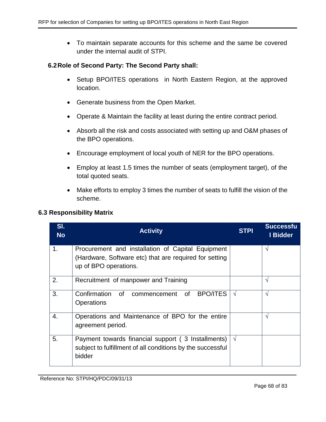• To maintain separate accounts for this scheme and the same be covered under the internal audit of STPI.

### **6.2Role of Second Party: The Second Party shall:**

- Setup BPO/ITES operations in North Eastern Region, at the approved location.
- Generate business from the Open Market.
- Operate & Maintain the facility at least during the entire contract period.
- Absorb all the risk and costs associated with setting up and O&M phases of the BPO operations.
- Encourage employment of local youth of NER for the BPO operations.
- Employ at least 1.5 times the number of seats (employment target), of the total quoted seats.
- Make efforts to employ 3 times the number of seats to fulfill the vision of the scheme.

### **6.3 Responsibility Matrix**

| SI.<br><b>No</b> | <b>Activity</b>                                                                                                                      | <b>STPI</b> | <b>Successfu</b><br>I Bidder |
|------------------|--------------------------------------------------------------------------------------------------------------------------------------|-------------|------------------------------|
| 1.               | Procurement and installation of Capital Equipment<br>(Hardware, Software etc) that are required for setting<br>up of BPO operations. |             | V                            |
| 2.               | Recruitment of manpower and Training                                                                                                 |             | V                            |
| 3.               | Confirmation<br><b>BPO/ITES</b><br>of<br>0f<br>commencement<br><b>Operations</b>                                                     | $\sqrt{ }$  | N                            |
| 4.               | Operations and Maintenance of BPO for the entire<br>agreement period.                                                                |             | V                            |
| 5.               | Payment towards financial support (3 Installments)<br>subject to fulfillment of all conditions by the successful<br>bidder           | $\sqrt{ }$  |                              |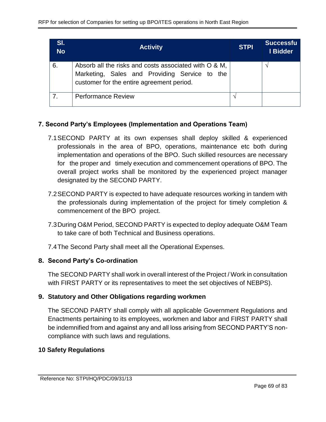| SI.<br><b>No</b> | <b>Activity</b>                                                                                                                                     | <b>STPI</b> | <b>Successfu</b><br>I Bidder |
|------------------|-----------------------------------------------------------------------------------------------------------------------------------------------------|-------------|------------------------------|
| 6.               | Absorb all the risks and costs associated with O & M,<br>Marketing, Sales and Providing Service to the<br>customer for the entire agreement period. |             |                              |
|                  | <b>Performance Review</b>                                                                                                                           |             |                              |

## **7. Second Party's Employees (Implementation and Operations Team)**

- 7.1SECOND PARTY at its own expenses shall deploy skilled & experienced professionals in the area of BPO, operations, maintenance etc both during implementation and operations of the BPO. Such skilled resources are necessary for the proper and timely execution and commencement operations of BPO. The overall project works shall be monitored by the experienced project manager designated by the SECOND PARTY.
- 7.2SECOND PARTY is expected to have adequate resources working in tandem with the professionals during implementation of the project for timely completion & commencement of the BPO project.
- 7.3During O&M Period, SECOND PARTY is expected to deploy adequate O&M Team to take care of both Technical and Business operations.
- 7.4The Second Party shall meet all the Operational Expenses.

## **8. Second Party's Co-ordination**

The SECOND PARTY shall work in overall interest of the Project / Work in consultation with FIRST PARTY or its representatives to meet the set objectives of NEBPS).

# **9. Statutory and Other Obligations regarding workmen**

The SECOND PARTY shall comply with all applicable Government Regulations and Enactments pertaining to its employees, workmen and labor and FIRST PARTY shall be indemnified from and against any and all loss arising from SECOND PARTY'S noncompliance with such laws and regulations.

## **10 Safety Regulations**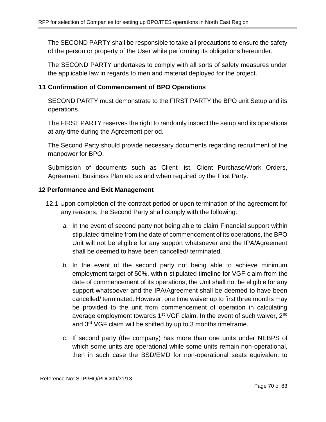The SECOND PARTY shall be responsible to take all precautions to ensure the safety of the person or property of the User while performing its obligations hereunder.

The SECOND PARTY undertakes to comply with all sorts of safety measures under the applicable law in regards to men and material deployed for the project.

## **11 Confirmation of Commencement of BPO Operations**

SECOND PARTY must demonstrate to the FIRST PARTY the BPO unit Setup and its operations.

The FIRST PARTY reserves the right to randomly inspect the setup and its operations at any time during the Agreement period.

The Second Party should provide necessary documents regarding recruitment of the manpower for BPO.

Submission of documents such as Client list, Client Purchase/Work Orders, Agreement, Business Plan etc as and when required by the First Party.

## **12 Performance and Exit Management**

- 12.1 Upon completion of the contract period or upon termination of the agreement for any reasons, the Second Party shall comply with the following:
	- *a.* In the event of second party not being able to claim Financial support within stipulated timeline from the date of commencement of its operations, the BPO Unit will not be eligible for any support whatsoever and the IPA/Agreement shall be deemed to have been cancelled/ terminated.
	- *b.* In the event of the second party not being able to achieve minimum employment target of 50%, within stipulated timeline for VGF claim from the date of commencement of its operations, the Unit shall not be eligible for any support whatsoever and the IPA/Agreement shall be deemed to have been cancelled/ terminated. However, one time waiver up to first three months may be provided to the unit from commencement of operation in calculating average employment towards 1<sup>st</sup> VGF claim. In the event of such waiver, 2<sup>nd</sup> and 3rd VGF claim will be shifted by up to 3 months timeframe.
	- c. If second party (the company) has more than one units under NEBPS of which some units are operational while some units remain non-operational, then in such case the BSD/EMD for non-operational seats equivalent to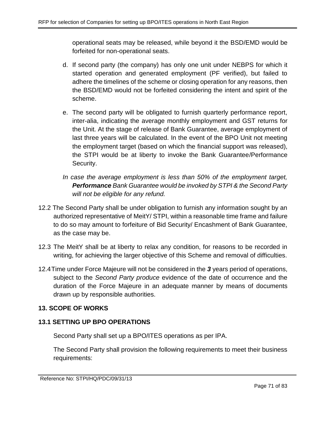operational seats may be released, while beyond it the BSD/EMD would be forfeited for non-operational seats.

- d. If second party (the company) has only one unit under NEBPS for which it started operation and generated employment (PF verified), but failed to adhere the timelines of the scheme or closing operation for any reasons, then the BSD/EMD would not be forfeited considering the intent and spirit of the scheme.
- e. The second party will be obligated to furnish quarterly performance report, inter-alia, indicating the average monthly employment and GST returns for the Unit. At the stage of release of Bank Guarantee, average employment of last three years will be calculated. In the event of the BPO Unit not meeting the employment target (based on which the financial support was released), the STPI would be at liberty to invoke the Bank Guarantee/Performance Security.
- *In case the average employment is less than 50% of the employment target, Performance Bank Guarantee would be invoked by STPI & the Second Party will not be eligible for any refund.*
- 12.2 The Second Party shall be under obligation to furnish any information sought by an authorized representative of MeitY/ STPI, within a reasonable time frame and failure to do so may amount to forfeiture of Bid Security/ Encashment of Bank Guarantee, as the case may be.
- 12.3 The MeitY shall be at liberty to relax any condition, for reasons to be recorded in writing, for achieving the larger objective of this Scheme and removal of difficulties.
- 12.4Time under Force Majeure will not be considered in the *3* years period of operations, subject to the *Second Party produce* evidence of the date of occurrence and the duration of the Force Majeure in an adequate manner by means of documents drawn up by responsible authorities.

# **13. SCOPE OF WORKS**

# **13.1 SETTING UP BPO OPERATIONS**

Second Party shall set up a BPO/ITES operations as per IPA.

The Second Party shall provision the following requirements to meet their business requirements: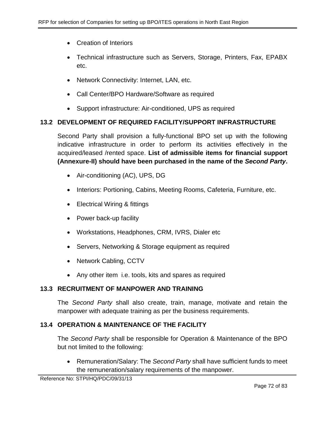- Creation of Interiors
- Technical infrastructure such as Servers, Storage, Printers, Fax, EPABX etc.
- Network Connectivity: Internet, LAN, etc.
- Call Center/BPO Hardware/Software as required
- Support infrastructure: Air-conditioned, UPS as required

## **13.2 DEVELOPMENT OF REQUIRED FACILITY/SUPPORT INFRASTRUCTURE**

Second Party shall provision a fully-functional BPO set up with the following indicative infrastructure in order to perform its activities effectively in the acquired/leased /rented space. **List of admissible items for financial support (Annexure-II) should have been purchased in the name of the** *Second Party***.**

- Air-conditioning (AC), UPS, DG
- Interiors: Portioning, Cabins, Meeting Rooms, Cafeteria, Furniture, etc.
- Electrical Wiring & fittings
- Power back-up facility
- Workstations, Headphones, CRM, IVRS, Dialer etc
- Servers, Networking & Storage equipment as required
- Network Cabling, CCTV
- Any other item i.e. tools, kits and spares as required

## **13.3 RECRUITMENT OF MANPOWER AND TRAINING**

The *Second Party* shall also create, train, manage, motivate and retain the manpower with adequate training as per the business requirements.

## **13.4 OPERATION & MAINTENANCE OF THE FACILITY**

The *Second Party* shall be responsible for Operation & Maintenance of the BPO but not limited to the following:

• Remuneration/Salary: The *Second Party* shall have sufficient funds to meet the remuneration/salary requirements of the manpower.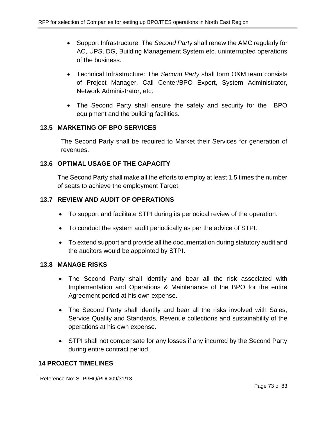- Support Infrastructure: The *Second Party* shall renew the AMC regularly for AC, UPS, DG, Building Management System etc. uninterrupted operations of the business.
- Technical Infrastructure: The *Second Party* shall form O&M team consists of Project Manager, Call Center/BPO Expert, System Administrator, Network Administrator, etc.
- The Second Party shall ensure the safety and security for the BPO equipment and the building facilities.

# **13.5 MARKETING OF BPO SERVICES**

The Second Party shall be required to Market their Services for generation of revenues.

# **13.6 OPTIMAL USAGE OF THE CAPACITY**

The Second Party shall make all the efforts to employ at least 1.5 times the number of seats to achieve the employment Target.

# **13.7 REVIEW AND AUDIT OF OPERATIONS**

- To support and facilitate STPI during its periodical review of the operation.
- To conduct the system audit periodically as per the advice of STPI.
- To extend support and provide all the documentation during statutory audit and the auditors would be appointed by STPI.

#### **13.8 MANAGE RISKS**

- The Second Party shall identify and bear all the risk associated with Implementation and Operations & Maintenance of the BPO for the entire Agreement period at his own expense.
- The Second Party shall identify and bear all the risks involved with Sales, Service Quality and Standards, Revenue collections and sustainability of the operations at his own expense.
- STPI shall not compensate for any losses if any incurred by the Second Party during entire contract period.

#### **14 PROJECT TIMELINES**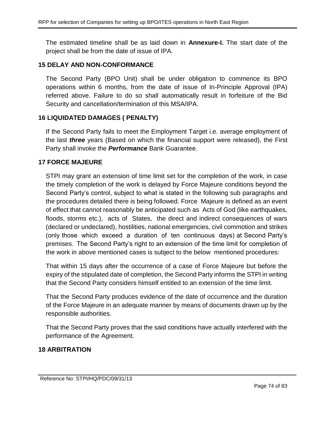The estimated timeline shall be as laid down in **Annexure-I.** The start date of the project shall be from the date of issue of IPA.

#### **15 DELAY AND NON-CONFORMANCE**

The Second Party (BPO Unit) shall be under obligation to commence its BPO operations within 6 months, from the date of issue of In-Principle Approval (IPA) referred above. Failure to do so shall automatically result in forfeiture of the Bid Security and cancellation/termination of this MSA/IPA.

#### **16 LIQUIDATED DAMAGES ( PENALTY)**

If the Second Party fails to meet the Employment Target i.e. average employment of the last *three* years (Based on which the financial support were released), the First Party shall invoke the *Performance* Bank Guarantee.

#### **17 FORCE MAJEURE**

STPI may grant an extension of time limit set for the completion of the work, in case the timely completion of the work is delayed by Force Majeure conditions beyond the Second Party's control, subject to what is stated in the following sub paragraphs and the procedures detailed there is being followed. Force Majeure is defined as an event of effect that cannot reasonably be anticipated such as Acts of God (like earthquakes, floods, storms etc.), acts of States, the direct and indirect consequences of wars (declared or undeclared), hostilities, national emergencies, civil commotion and strikes (only those which exceed a duration of ten continuous days) at Second Party's premises. The Second Party's right to an extension of the time limit for completion of the work in above mentioned cases is subject to the below mentioned procedures:

That within 15 days after the occurrence of a case of Force Majeure but before the expiry of the stipulated date of completion, the Second Party informs the STPI in writing that the Second Party considers himself entitled to an extension of the time limit.

That the Second Party produces evidence of the date of occurrence and the duration of the Force Majeure in an adequate manner by means of documents drawn up by the responsible authorities.

That the Second Party proves that the said conditions have actually interfered with the performance of the Agreement.

#### **18 ARBITRATION**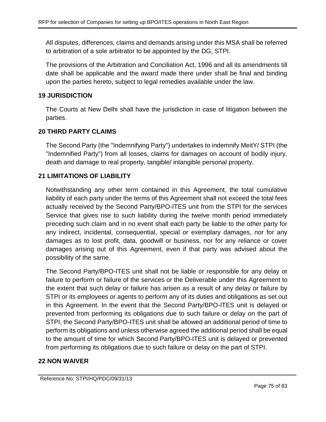All disputes, differences, claims and demands arising under this MSA shall be referred to arbitration of a sole arbitrator to be appointed by the DG, STPI.

The provisions of the Arbitration and Conciliation Act, 1996 and all its amendments till date shall be applicable and the award made there under shall be final and binding upon the parties hereto, subject to legal remedies available under the law.

### **19 JURISDICTION**

The Courts at New Delhi shall have the jurisdiction in case of litigation between the parties.

### **20 THIRD PARTY CLAIMS**

The Second Party (the "Indemnifying Party") undertakes to indemnify MeitY/ STPI (the "Indemnified Party") from all losses, claims for damages on account of bodily injury, death and damage to real property, tangible/ intangible personal property.

# **21 LIMITATIONS OF LIABILITY**

Notwithstanding any other term contained in this Agreement, the total cumulative liability of each party under the terms of this Agreement shall not exceed the total fees actually received by the Second Party/BPO-ITES unit from the STPI for the services Service that gives rise to such liability during the twelve month period immediately preceding such claim and in no event shall each party be liable to the other party for any indirect, incidental, consequential, special or exemplary damages, nor for any damages as to lost profit, data, goodwill or business, nor for any reliance or cover damages arising out of this Agreement, even if that party was advised about the possibility of the same.

The Second Party/BPO-ITES unit shall not be liable or responsible for any delay or failure to perform or failure of the services or the Deliverable under this Agreement to the extent that such delay or failure has arisen as a result of any delay or failure by STPI or its employees or agents to perform any of its duties and obligations as set out in this Agreement. In the event that the Second Party/BPO-ITES unit is delayed or prevented from performing its obligations due to such failure or delay on the part of STPI, the Second Party/BPO-ITES unit shall be allowed an additional period of time to perform its obligations and unless otherwise agreed the additional period shall be equal to the amount of time for which Second Party/BPO-ITES unit is delayed or prevented from performing its obligations due to such failure or delay on the part of STPI.

#### **22 NON WAIVER**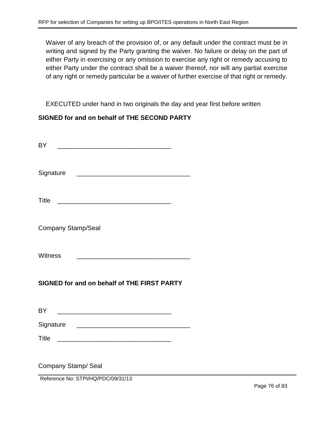Waiver of any breach of the provision of, or any default under the contract must be in writing and signed by the Party granting the waiver. No failure or delay on the part of either Party in exercising or any omission to exercise any right or remedy accusing to either Party under the contract shall be a waiver thereof, nor will any partial exercise of any right or remedy particular be a waiver of further exercise of that right or remedy.

EXECUTED under hand in two originals the day and year first before written

#### **SIGNED for and on behalf of THE SECOND PARTY**

| <b>BY</b>                                                                                                                             |  |
|---------------------------------------------------------------------------------------------------------------------------------------|--|
| Signature<br><u> 2002 - Johann John Stone, mars and de la provincia de la provincia de la provincia de la provincia de la pro</u>     |  |
| <b>Title</b><br><u> 2000 - Jan James James James James James James James James James James James James James James James James Ja</u> |  |
| <b>Company Stamp/Seal</b>                                                                                                             |  |
| Witness<br><u> 1989 - Johann Barn, mars ann an t-Amhain an t-Amhain an t-Amhain an t-Amhain an t-Amhain an t-Amhain an t-Amh</u>      |  |
| SIGNED for and on behalf of THE FIRST PARTY                                                                                           |  |
| <b>BY</b>                                                                                                                             |  |
| Signature<br><u> 1980 - Jan James James Barnett, fransk politik (d. 1980)</u>                                                         |  |
| <b>Title</b><br><u> Alexandria de la contrada de la contrada de la contrada de la contrada de la contrada de la contrada de la c</u>  |  |
| Company Stamp/ Seal<br>Reference No: STPI/HQ/PDC/09/31/13                                                                             |  |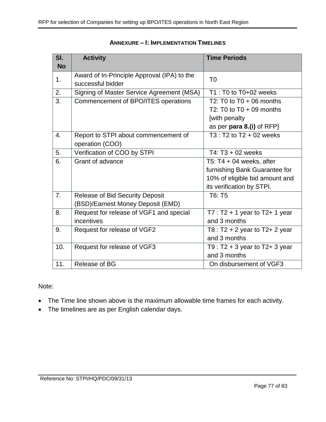| SI.       | <b>Activity</b>                             | <b>Time Periods</b>                                |
|-----------|---------------------------------------------|----------------------------------------------------|
| <b>No</b> |                                             |                                                    |
| 1.        | Award of In-Principle Approval (IPA) to the | T <sub>0</sub>                                     |
|           | successful bidder                           |                                                    |
| 2.        | Signing of Master Service Agreement (MSA)   | T1 : T0 to T0+02 weeks                             |
| 3.        | Commencement of BPO/ITES operations         | T2: T0 to $T0 + 06$ months                         |
|           |                                             | T2: T0 to $T0 + 09$ months                         |
|           |                                             | [with penalty                                      |
|           |                                             | as per para 8.(i) of RFP]                          |
| 4.        | Report to STPI about commencement of        | $\overline{13}$ : $\overline{12}$ to T2 + 02 weeks |
|           | operation (COO)                             |                                                    |
| 5.        | Verification of COO by STPI                 | T4: T3 + 02 weeks                                  |
| 6.        | Grant of advance                            | T5: $T4 + 04$ weeks, after                         |
|           |                                             | furnishing Bank Guarantee for                      |
|           |                                             | 10% of eligible bid amount and                     |
|           |                                             | its verification by STPI.                          |
| 7.        | <b>Release of Bid Security Deposit</b>      | T6: T5                                             |
|           | (BSD)/Earnest Money Deposit (EMD)           |                                                    |
| 8.        | Request for release of VGF1 and special     | $T7: T2 + 1$ year to T2+ 1 year                    |
|           | incentives                                  | and 3 months                                       |
| 9.        | Request for release of VGF2                 | T8 : $T2 + 2$ year to $T2 + 2$ year                |
|           |                                             | and 3 months                                       |
| 10.       | Request for release of VGF3                 | T9 : $T2 + 3$ year to $T2 + 3$ year                |
|           |                                             | and 3 months                                       |
| 11.       | Release of BG                               | On disbursement of VGF3                            |

#### **ANNEXURE – I: IMPLEMENTATION TIMELINES**

#### Note:

- The Time line shown above is the maximum allowable time frames for each activity.
- The timelines are as per English calendar days.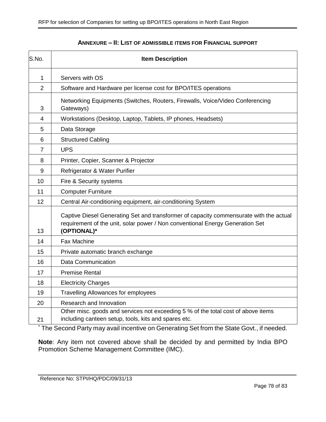| S.No.          | <b>Item Description</b>                                                                                                                                                                |  |
|----------------|----------------------------------------------------------------------------------------------------------------------------------------------------------------------------------------|--|
| $\mathbf{1}$   | Servers with OS                                                                                                                                                                        |  |
| $\overline{2}$ | Software and Hardware per license cost for BPO/ITES operations                                                                                                                         |  |
| 3              | Networking Equipments (Switches, Routers, Firewalls, Voice/Video Conferencing<br>Gateways)                                                                                             |  |
| 4              | Workstations (Desktop, Laptop, Tablets, IP phones, Headsets)                                                                                                                           |  |
| 5              | Data Storage                                                                                                                                                                           |  |
| 6              | <b>Structured Cabling</b>                                                                                                                                                              |  |
| $\overline{7}$ | <b>UPS</b>                                                                                                                                                                             |  |
| 8              | Printer, Copier, Scanner & Projector                                                                                                                                                   |  |
| 9              | Refrigerator & Water Purifier                                                                                                                                                          |  |
| 10             | Fire & Security systems                                                                                                                                                                |  |
| 11             | <b>Computer Furniture</b>                                                                                                                                                              |  |
| 12             | Central Air-conditioning equipment, air-conditioning System                                                                                                                            |  |
| 13             | Captive Diesel Generating Set and transformer of capacity commensurate with the actual<br>requirement of the unit, solar power / Non conventional Energy Generation Set<br>(OPTIONAL)* |  |
| 14             | <b>Fax Machine</b>                                                                                                                                                                     |  |
| 15             | Private automatic branch exchange                                                                                                                                                      |  |
| 16             | <b>Data Communication</b>                                                                                                                                                              |  |
| 17             | <b>Premise Rental</b>                                                                                                                                                                  |  |
| 18             | <b>Electricity Charges</b>                                                                                                                                                             |  |
| 19             | <b>Travelling Allowances for employees</b>                                                                                                                                             |  |
| 20             | Research and Innovation                                                                                                                                                                |  |
| 21             | Other misc. goods and services not exceeding 5 % of the total cost of above items<br>including canteen setup, tools, kits and spares etc.                                              |  |

#### **ANNEXURE – II: LIST OF ADMISSIBLE ITEMS FOR FINANCIAL SUPPORT**

\* The Second Party may avail incentive on Generating Set from the State Govt., if needed.

**Note**: Any item not covered above shall be decided by and permitted by India BPO Promotion Scheme Management Committee (IMC).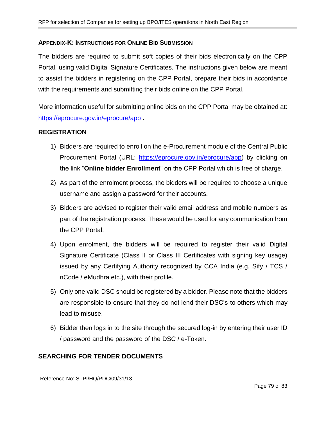#### **APPENDIX-K: INSTRUCTIONS FOR ONLINE BID SUBMISSION**

The bidders are required to submit soft copies of their bids electronically on the CPP Portal, using valid Digital Signature Certificates. The instructions given below are meant to assist the bidders in registering on the CPP Portal, prepare their bids in accordance with the requirements and submitting their bids online on the CPP Portal.

More information useful for submitting online bids on the CPP Portal may be obtained at: <https://eprocure.gov.in/eprocure/app> **.**

### **REGISTRATION**

- 1) Bidders are required to enroll on the e-Procurement module of the Central Public Procurement Portal (URL: [https://eprocure.gov.in/eprocure/app\)](https://eprocure.gov.in/eprocure/app) by clicking on the link "**Online bidder Enrollment**" on the CPP Portal which is free of charge.
- 2) As part of the enrolment process, the bidders will be required to choose a unique username and assign a password for their accounts.
- 3) Bidders are advised to register their valid email address and mobile numbers as part of the registration process. These would be used for any communication from the CPP Portal.
- 4) Upon enrolment, the bidders will be required to register their valid Digital Signature Certificate (Class II or Class III Certificates with signing key usage) issued by any Certifying Authority recognized by CCA India (e.g. Sify / TCS / nCode / eMudhra etc.), with their profile.
- 5) Only one valid DSC should be registered by a bidder. Please note that the bidders are responsible to ensure that they do not lend their DSC's to others which may lead to misuse.
- 6) Bidder then logs in to the site through the secured log-in by entering their user ID / password and the password of the DSC / e-Token.

# **SEARCHING FOR TENDER DOCUMENTS**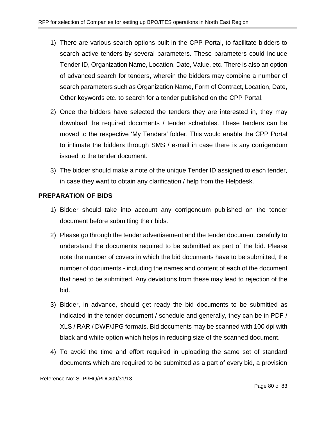- 1) There are various search options built in the CPP Portal, to facilitate bidders to search active tenders by several parameters. These parameters could include Tender ID, Organization Name, Location, Date, Value, etc. There is also an option of advanced search for tenders, wherein the bidders may combine a number of search parameters such as Organization Name, Form of Contract, Location, Date, Other keywords etc. to search for a tender published on the CPP Portal.
- 2) Once the bidders have selected the tenders they are interested in, they may download the required documents / tender schedules. These tenders can be moved to the respective 'My Tenders' folder. This would enable the CPP Portal to intimate the bidders through SMS / e-mail in case there is any corrigendum issued to the tender document.
- 3) The bidder should make a note of the unique Tender ID assigned to each tender, in case they want to obtain any clarification / help from the Helpdesk.

# **PREPARATION OF BIDS**

- 1) Bidder should take into account any corrigendum published on the tender document before submitting their bids.
- 2) Please go through the tender advertisement and the tender document carefully to understand the documents required to be submitted as part of the bid. Please note the number of covers in which the bid documents have to be submitted, the number of documents - including the names and content of each of the document that need to be submitted. Any deviations from these may lead to rejection of the bid.
- 3) Bidder, in advance, should get ready the bid documents to be submitted as indicated in the tender document / schedule and generally, they can be in PDF / XLS / RAR / DWF/JPG formats. Bid documents may be scanned with 100 dpi with black and white option which helps in reducing size of the scanned document.
- 4) To avoid the time and effort required in uploading the same set of standard documents which are required to be submitted as a part of every bid, a provision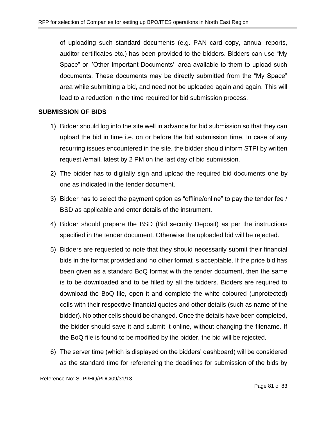of uploading such standard documents (e.g. PAN card copy, annual reports, auditor certificates etc.) has been provided to the bidders. Bidders can use "My Space" or ''Other Important Documents'' area available to them to upload such documents. These documents may be directly submitted from the "My Space" area while submitting a bid, and need not be uploaded again and again. This will lead to a reduction in the time required for bid submission process.

# **SUBMISSION OF BIDS**

- 1) Bidder should log into the site well in advance for bid submission so that they can upload the bid in time i.e. on or before the bid submission time. In case of any recurring issues encountered in the site, the bidder should inform STPI by written request /email, latest by 2 PM on the last day of bid submission.
- 2) The bidder has to digitally sign and upload the required bid documents one by one as indicated in the tender document.
- 3) Bidder has to select the payment option as "offline/online" to pay the tender fee / BSD as applicable and enter details of the instrument.
- 4) Bidder should prepare the BSD (Bid security Deposit) as per the instructions specified in the tender document. Otherwise the uploaded bid will be rejected.
- 5) Bidders are requested to note that they should necessarily submit their financial bids in the format provided and no other format is acceptable. If the price bid has been given as a standard BoQ format with the tender document, then the same is to be downloaded and to be filled by all the bidders. Bidders are required to download the BoQ file, open it and complete the white coloured (unprotected) cells with their respective financial quotes and other details (such as name of the bidder). No other cells should be changed. Once the details have been completed, the bidder should save it and submit it online, without changing the filename. If the BoQ file is found to be modified by the bidder, the bid will be rejected.
- 6) The server time (which is displayed on the bidders' dashboard) will be considered as the standard time for referencing the deadlines for submission of the bids by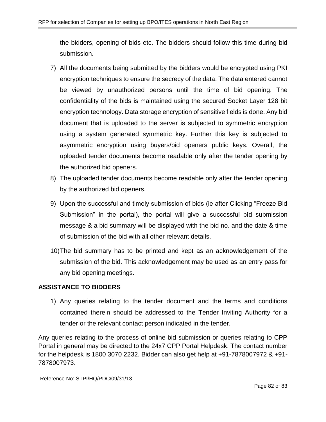the bidders, opening of bids etc. The bidders should follow this time during bid submission.

- 7) All the documents being submitted by the bidders would be encrypted using PKI encryption techniques to ensure the secrecy of the data. The data entered cannot be viewed by unauthorized persons until the time of bid opening. The confidentiality of the bids is maintained using the secured Socket Layer 128 bit encryption technology. Data storage encryption of sensitive fields is done. Any bid document that is uploaded to the server is subjected to symmetric encryption using a system generated symmetric key. Further this key is subjected to asymmetric encryption using buyers/bid openers public keys. Overall, the uploaded tender documents become readable only after the tender opening by the authorized bid openers.
- 8) The uploaded tender documents become readable only after the tender opening by the authorized bid openers.
- 9) Upon the successful and timely submission of bids (ie after Clicking "Freeze Bid Submission" in the portal), the portal will give a successful bid submission message & a bid summary will be displayed with the bid no. and the date & time of submission of the bid with all other relevant details.
- 10)The bid summary has to be printed and kept as an acknowledgement of the submission of the bid. This acknowledgement may be used as an entry pass for any bid opening meetings.

# **ASSISTANCE TO BIDDERS**

1) Any queries relating to the tender document and the terms and conditions contained therein should be addressed to the Tender Inviting Authority for a tender or the relevant contact person indicated in the tender.

Any queries relating to the process of online bid submission or queries relating to CPP Portal in general may be directed to the 24x7 CPP Portal Helpdesk. The contact number for the helpdesk is 1800 3070 2232. Bidder can also get help at +91-7878007972 & +91- 7878007973.